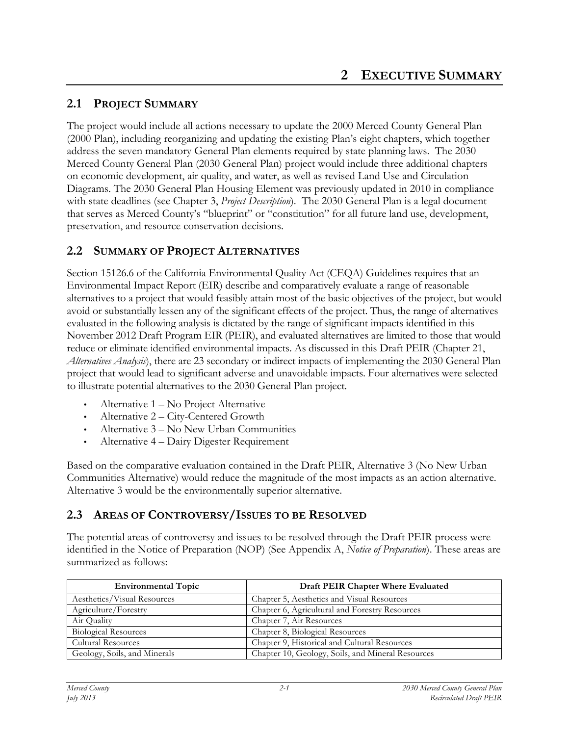## **2.1 PROJECT SUMMARY**

The project would include all actions necessary to update the 2000 Merced County General Plan (2000 Plan), including reorganizing and updating the existing Plan's eight chapters, which together address the seven mandatory General Plan elements required by state planning laws. The 2030 Merced County General Plan (2030 General Plan) project would include three additional chapters on economic development, air quality, and water, as well as revised Land Use and Circulation Diagrams. The 2030 General Plan Housing Element was previously updated in 2010 in compliance with state deadlines (see Chapter 3, *Project Description*). The 2030 General Plan is a legal document that serves as Merced County's "blueprint" or "constitution" for all future land use, development, preservation, and resource conservation decisions.

## **2.2 SUMMARY OF PROJECT ALTERNATIVES**

Section 15126.6 of the California Environmental Quality Act (CEQA) Guidelines requires that an Environmental Impact Report (EIR) describe and comparatively evaluate a range of reasonable alternatives to a project that would feasibly attain most of the basic objectives of the project, but would avoid or substantially lessen any of the significant effects of the project. Thus, the range of alternatives evaluated in the following analysis is dictated by the range of significant impacts identified in this November 2012 Draft Program EIR (PEIR), and evaluated alternatives are limited to those that would reduce or eliminate identified environmental impacts. As discussed in this Draft PEIR (Chapter 21, *Alternatives Analysis*), there are 23 secondary or indirect impacts of implementing the 2030 General Plan project that would lead to significant adverse and unavoidable impacts. Four alternatives were selected to illustrate potential alternatives to the 2030 General Plan project.

- Alternative 1 No Project Alternative
- Alternative 2 City-Centered Growth
- Alternative 3 No New Urban Communities
- Alternative 4 Dairy Digester Requirement

Based on the comparative evaluation contained in the Draft PEIR, Alternative 3 (No New Urban Communities Alternative) would reduce the magnitude of the most impacts as an action alternative. Alternative 3 would be the environmentally superior alternative.

## **2.3 AREAS OF CONTROVERSY/ISSUES TO BE RESOLVED**

The potential areas of controversy and issues to be resolved through the Draft PEIR process were identified in the Notice of Preparation (NOP) (See Appendix A, *Notice of Preparation*). These areas are summarized as follows:

| <b>Environmental Topic</b>   | Draft PEIR Chapter Where Evaluated                |
|------------------------------|---------------------------------------------------|
| Aesthetics/Visual Resources  | Chapter 5, Aesthetics and Visual Resources        |
| Agriculture/Forestry         | Chapter 6, Agricultural and Forestry Resources    |
| Air Quality                  | Chapter 7, Air Resources                          |
| <b>Biological Resources</b>  | Chapter 8, Biological Resources                   |
| <b>Cultural Resources</b>    | Chapter 9, Historical and Cultural Resources      |
| Geology, Soils, and Minerals | Chapter 10, Geology, Soils, and Mineral Resources |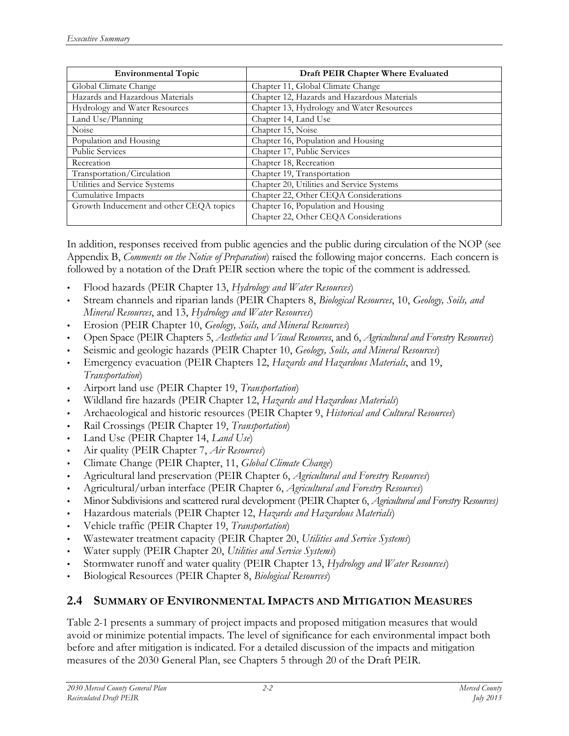| <b>Environmental Topic</b>              | Draft PEIR Chapter Where Evaluated          |
|-----------------------------------------|---------------------------------------------|
| Global Climate Change                   | Chapter 11, Global Climate Change           |
| Hazards and Hazardous Materials         | Chapter 12, Hazards and Hazardous Materials |
| Hydrology and Water Resources           | Chapter 13, Hydrology and Water Resources   |
| Land Use/Planning                       | Chapter 14, Land Use                        |
| Noise                                   | Chapter 15, Noise                           |
| Population and Housing                  | Chapter 16, Population and Housing          |
| <b>Public Services</b>                  | Chapter 17, Public Services                 |
| Recreation                              | Chapter 18, Recreation                      |
| Transportation/Circulation              | Chapter 19, Transportation                  |
| Utilities and Service Systems           | Chapter 20, Utilities and Service Systems   |
| Cumulative Impacts                      | Chapter 22, Other CEQA Considerations       |
| Growth Inducement and other CEQA topics | Chapter 16, Population and Housing          |
|                                         | Chapter 22, Other CEQA Considerations       |

In addition, responses received from public agencies and the public during circulation of the NOP (see Appendix B, *Comments on the Notice of Preparation*) raised the following major concerns. Each concern is followed by a notation of the Draft PEIR section where the topic of the comment is addressed.

- Flood hazards (PEIR Chapter 13, *Hydrology and Water Resources*)
- Stream channels and riparian lands (PEIR Chapters 8, *Biological Resources*, 10, *Geology, Soils, and Mineral Resources*, and 13, *Hydrology and Water Resources*)
- Erosion (PEIR Chapter 10, *Geology, Soils, and Mineral Resources*)
- Open Space (PEIR Chapters 5, *Aesthetics and Visual Resources*, and 6, *Agricultural and Forestry Resources*)
- Seismic and geologic hazards (PEIR Chapter 10, *Geology, Soils, and Mineral Resources*)
- Emergency evacuation (PEIR Chapters 12, *Hazards and Hazardous Materials*, and 19, *Transportation*)
- Airport land use (PEIR Chapter 19, *Transportation*)
- Wildland fire hazards (PEIR Chapter 12, *Hazards and Hazardous Materials*)
- Archaeological and historic resources (PEIR Chapter 9, *Historical and Cultural Resources*)
- Rail Crossings (PEIR Chapter 19, *Transportation*)
- Land Use (PEIR Chapter 14, *Land Use*)
- Air quality (PEIR Chapter 7, *Air Resources*)
- Climate Change (PEIR Chapter, 11, *Global Climate Change*)
- Agricultural land preservation (PEIR Chapter 6, *Agricultural and Forestry Resources*)
- Agricultural/urban interface (PEIR Chapter 6, *Agricultural and Forestry Resources*)
- Minor Subdivisions and scattered rural development (PEIR Chapter 6, *Agricultural and Forestry Resources)*
- Hazardous materials (PEIR Chapter 12, *Hazards and Hazardous Materials*)
- Vehicle traffic (PEIR Chapter 19, *Transportation*)
- Wastewater treatment capacity (PEIR Chapter 20, *Utilities and Service Systems*)
- Water supply (PEIR Chapter 20, *Utilities and Service Systems*)
- Stormwater runoff and water quality (PEIR Chapter 13, *Hydrology and Water Resources*)
- Biological Resources (PEIR Chapter 8, *Biological Resources*)

## **2.4 SUMMARY OF ENVIRONMENTAL IMPACTS AND MITIGATION MEASURES**

Table 2-1 presents a summary of project impacts and proposed mitigation measures that would avoid or minimize potential impacts. The level of significance for each environmental impact both before and after mitigation is indicated. For a detailed discussion of the impacts and mitigation measures of the 2030 General Plan, see Chapters 5 through 20 of the Draft PEIR*.*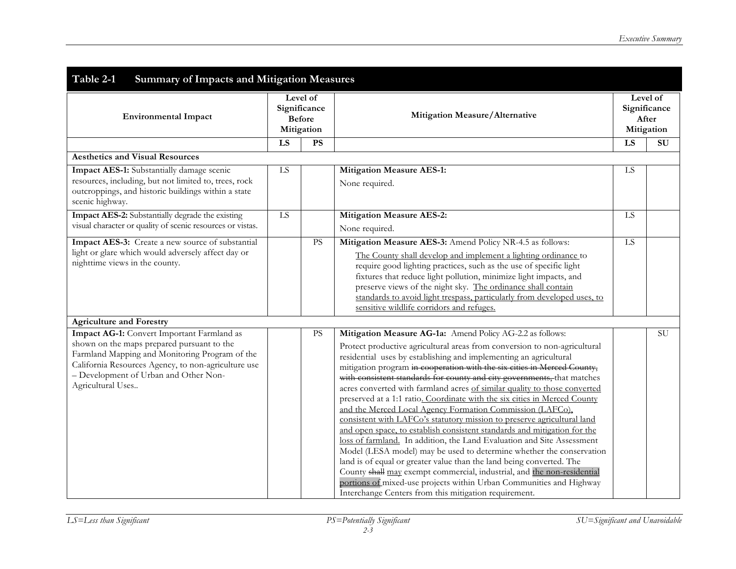| Table 2-1<br><b>Summary of Impacts and Mitigation Measures</b>                                                                                                                                                                                                  |                                                         |           |                                                                                                                                                                                                                                                                                                                                                                                                                                                                                                                                                                                                                                                                                                                                                                                                                                                                                                                                                                                                                                                                                                                                                                                      |    |                                                 |
|-----------------------------------------------------------------------------------------------------------------------------------------------------------------------------------------------------------------------------------------------------------------|---------------------------------------------------------|-----------|--------------------------------------------------------------------------------------------------------------------------------------------------------------------------------------------------------------------------------------------------------------------------------------------------------------------------------------------------------------------------------------------------------------------------------------------------------------------------------------------------------------------------------------------------------------------------------------------------------------------------------------------------------------------------------------------------------------------------------------------------------------------------------------------------------------------------------------------------------------------------------------------------------------------------------------------------------------------------------------------------------------------------------------------------------------------------------------------------------------------------------------------------------------------------------------|----|-------------------------------------------------|
| <b>Environmental Impact</b>                                                                                                                                                                                                                                     | Level of<br>Significance<br><b>Before</b><br>Mitigation |           | Mitigation Measure/Alternative                                                                                                                                                                                                                                                                                                                                                                                                                                                                                                                                                                                                                                                                                                                                                                                                                                                                                                                                                                                                                                                                                                                                                       |    | Level of<br>Significance<br>After<br>Mitigation |
| <b>Aesthetics and Visual Resources</b>                                                                                                                                                                                                                          | LS                                                      | PS        |                                                                                                                                                                                                                                                                                                                                                                                                                                                                                                                                                                                                                                                                                                                                                                                                                                                                                                                                                                                                                                                                                                                                                                                      | LS | $\overline{\mathrm{SU}}$                        |
| Impact AES-1: Substantially damage scenic<br>resources, including, but not limited to, trees, rock<br>outcroppings, and historic buildings within a state<br>scenic highway.                                                                                    | LS                                                      |           | Mitigation Measure AES-1:<br>None required.                                                                                                                                                                                                                                                                                                                                                                                                                                                                                                                                                                                                                                                                                                                                                                                                                                                                                                                                                                                                                                                                                                                                          | LS |                                                 |
| Impact AES-2: Substantially degrade the existing<br>visual character or quality of scenic resources or vistas.                                                                                                                                                  | LS                                                      |           | <b>Mitigation Measure AES-2:</b><br>None required.                                                                                                                                                                                                                                                                                                                                                                                                                                                                                                                                                                                                                                                                                                                                                                                                                                                                                                                                                                                                                                                                                                                                   | LS |                                                 |
| Impact AES-3: Create a new source of substantial<br>light or glare which would adversely affect day or<br>nighttime views in the county.                                                                                                                        |                                                         | <b>PS</b> | Mitigation Measure AES-3: Amend Policy NR-4.5 as follows:<br>The County shall develop and implement a lighting ordinance to<br>require good lighting practices, such as the use of specific light<br>fixtures that reduce light pollution, minimize light impacts, and<br>preserve views of the night sky. The ordinance shall contain<br>standards to avoid light trespass, particularly from developed uses, to<br>sensitive wildlife corridors and refuges.                                                                                                                                                                                                                                                                                                                                                                                                                                                                                                                                                                                                                                                                                                                       | LS |                                                 |
| <b>Agriculture and Forestry</b>                                                                                                                                                                                                                                 |                                                         |           |                                                                                                                                                                                                                                                                                                                                                                                                                                                                                                                                                                                                                                                                                                                                                                                                                                                                                                                                                                                                                                                                                                                                                                                      |    |                                                 |
| Impact AG-1: Convert Important Farmland as<br>shown on the maps prepared pursuant to the<br>Farmland Mapping and Monitoring Program of the<br>California Resources Agency, to non-agriculture use<br>- Development of Urban and Other Non-<br>Agricultural Uses |                                                         | <b>PS</b> | Mitigation Measure AG-1a: Amend Policy AG-2.2 as follows:<br>Protect productive agricultural areas from conversion to non-agricultural<br>residential uses by establishing and implementing an agricultural<br>mitigation program in cooperation with the six cities in Merced County,<br>with consistent standards for county and city governments, that matches<br>acres converted with farmland acres of similar quality to those converted<br>preserved at a 1:1 ratio. Coordinate with the six cities in Merced County<br>and the Merced Local Agency Formation Commission (LAFCo),<br>consistent with LAFCo's statutory mission to preserve agricultural land<br>and open space, to establish consistent standards and mitigation for the<br>loss of farmland. In addition, the Land Evaluation and Site Assessment<br>Model (LESA model) may be used to determine whether the conservation<br>land is of equal or greater value than the land being converted. The<br>County shall may exempt commercial, industrial, and the non-residential<br>portions of mixed-use projects within Urban Communities and Highway<br>Interchange Centers from this mitigation requirement. |    | $\overline{SU}$                                 |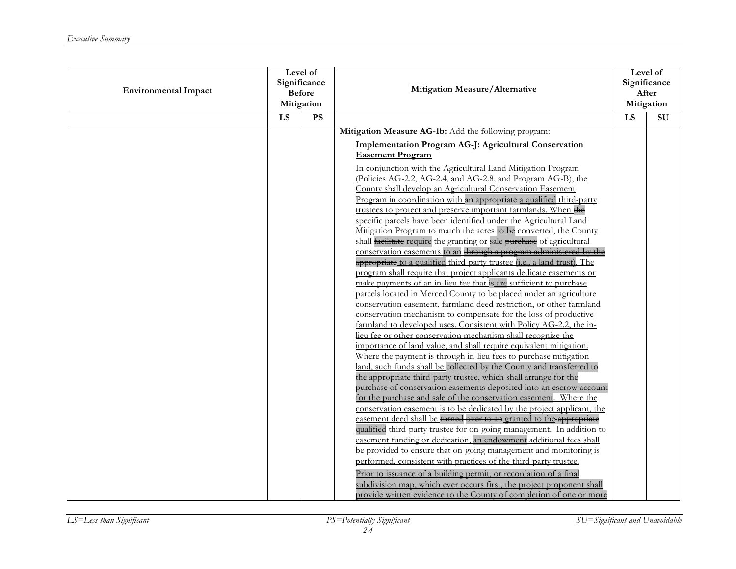| <b>Environmental Impact</b> | Level of<br>Significance<br><b>Before</b><br>Mitigation |    | Mitigation Measure/Alternative                                                                                                                                                                                     |                 | Level of<br>Significance<br>After<br>Mitigation |
|-----------------------------|---------------------------------------------------------|----|--------------------------------------------------------------------------------------------------------------------------------------------------------------------------------------------------------------------|-----------------|-------------------------------------------------|
|                             | LS                                                      | PS |                                                                                                                                                                                                                    | $\overline{LS}$ | $\overline{\rm SU}$                             |
|                             |                                                         |    | Mitigation Measure AG-1b: Add the following program:                                                                                                                                                               |                 |                                                 |
|                             |                                                         |    | Implementation Program AG-J: Agricultural Conservation<br><b>Easement Program</b><br>In conjunction with the Agricultural Land Mitigation Program                                                                  |                 |                                                 |
|                             |                                                         |    | (Policies AG-2.2, AG-2.4, and AG-2.8, and Program AG-B), the<br>County shall develop an Agricultural Conservation Easement<br>Program in coordination with an appropriate a qualified third-party                  |                 |                                                 |
|                             |                                                         |    | trustees to protect and preserve important farmlands. When the<br>specific parcels have been identified under the Agricultural Land                                                                                |                 |                                                 |
|                             |                                                         |    | Mitigation Program to match the acres to be converted, the County<br>shall facilitate require the granting or sale purchase of agricultural<br>conservation easements to an through a program administered by the  |                 |                                                 |
|                             |                                                         |    | appropriate to a qualified third-party trustee (i.e., a land trust). The<br>program shall require that project applicants dedicate easements or                                                                    |                 |                                                 |
|                             |                                                         |    | make payments of an in-lieu fee that is are sufficient to purchase<br>parcels located in Merced County to be placed under an agriculture<br>conservation easement, farmland deed restriction, or other farmland    |                 |                                                 |
|                             |                                                         |    | conservation mechanism to compensate for the loss of productive<br>farmland to developed uses. Consistent with Policy AG-2.2, the in-                                                                              |                 |                                                 |
|                             |                                                         |    | lieu fee or other conservation mechanism shall recognize the<br>importance of land value, and shall require equivalent mitigation.                                                                                 |                 |                                                 |
|                             |                                                         |    | Where the payment is through in-lieu fees to purchase mitigation<br>land, such funds shall be collected by the County and transferred to                                                                           |                 |                                                 |
|                             |                                                         |    | the appropriate third-party trustee, which shall arrange for the<br>purchase of conservation easements deposited into an escrow account                                                                            |                 |                                                 |
|                             |                                                         |    | for the purchase and sale of the conservation easement. Where the<br>conservation easement is to be dedicated by the project applicant, the                                                                        |                 |                                                 |
|                             |                                                         |    | easement deed shall be turned over to an granted to the appropriate<br>qualified third-party trustee for on-going management. In addition to<br>easement funding or dedication, an endowment additional fees shall |                 |                                                 |
|                             |                                                         |    | be provided to ensure that on-going management and monitoring is<br>performed, consistent with practices of the third-party trustee.                                                                               |                 |                                                 |
|                             |                                                         |    | Prior to issuance of a building permit, or recordation of a final<br>subdivision map, which ever occurs first, the project proponent shall<br>provide written evidence to the County of completion of one or more  |                 |                                                 |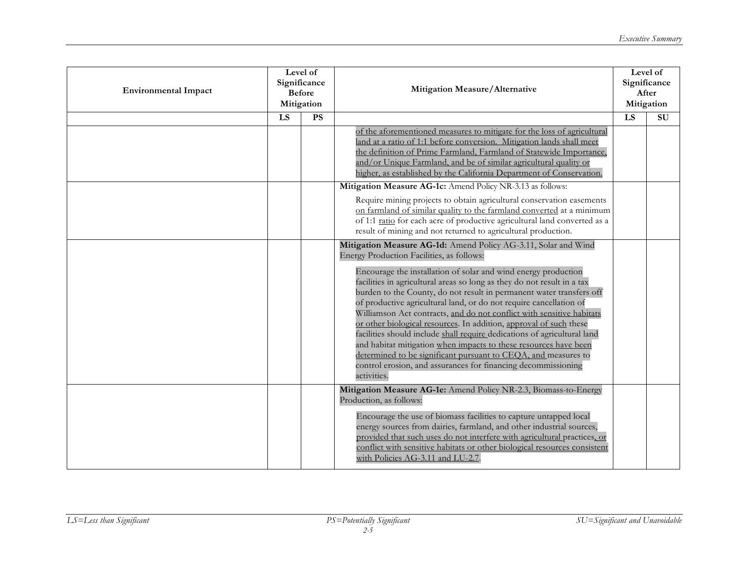| <b>Environmental Impact</b> | Level of<br>Significance<br><b>Before</b><br>Mitigation |           | Mitigation Measure/Alternative                                                                                                                                                                                                                                                                                                                                                                                                                                                                                                                                                                                                                                                                                                           |    | Level of<br>Significance<br>After<br>Mitigation |
|-----------------------------|---------------------------------------------------------|-----------|------------------------------------------------------------------------------------------------------------------------------------------------------------------------------------------------------------------------------------------------------------------------------------------------------------------------------------------------------------------------------------------------------------------------------------------------------------------------------------------------------------------------------------------------------------------------------------------------------------------------------------------------------------------------------------------------------------------------------------------|----|-------------------------------------------------|
|                             | LS                                                      | <b>PS</b> |                                                                                                                                                                                                                                                                                                                                                                                                                                                                                                                                                                                                                                                                                                                                          | LS | SU                                              |
|                             |                                                         |           | of the aforementioned measures to mitigate for the loss of agricultural<br>land at a ratio of 1:1 before conversion. Mitigation lands shall meet<br>the definition of Prime Farmland, Farmland of Statewide Importance,<br>and/or Unique Farmland, and be of similar agricultural quality or<br>higher, as established by the California Department of Conservation.                                                                                                                                                                                                                                                                                                                                                                     |    |                                                 |
|                             |                                                         |           | Mitigation Measure AG-1c: Amend Policy NR-3.13 as follows:                                                                                                                                                                                                                                                                                                                                                                                                                                                                                                                                                                                                                                                                               |    |                                                 |
|                             |                                                         |           | Require mining projects to obtain agricultural conservation easements<br>on farmland of similar quality to the farmland converted at a minimum<br>of 1:1 ratio for each acre of productive agricultural land converted as a<br>result of mining and not returned to agricultural production.                                                                                                                                                                                                                                                                                                                                                                                                                                             |    |                                                 |
|                             |                                                         |           | Mitigation Measure AG-1d: Amend Policy AG-3.11, Solar and Wind<br>Energy Production Facilities, as follows:                                                                                                                                                                                                                                                                                                                                                                                                                                                                                                                                                                                                                              |    |                                                 |
|                             |                                                         |           | Encourage the installation of solar and wind energy production<br>facilities in agricultural areas so long as they do not result in a tax<br>burden to the County, do not result in permanent water transfers off<br>of productive agricultural land, or do not require cancellation of<br>Williamson Act contracts, and do not conflict with sensitive habitats<br>or other biological resources. In addition, approval of such these<br>facilities should include shall require dedications of agricultural land<br>and habitat mitigation when impacts to these resources have been<br>determined to be significant pursuant to CEQA, and measures to<br>control erosion, and assurances for financing decommissioning<br>activities. |    |                                                 |
|                             |                                                         |           | Mitigation Measure AG-1e: Amend Policy NR-2.3, Biomass-to-Energy<br>Production, as follows:                                                                                                                                                                                                                                                                                                                                                                                                                                                                                                                                                                                                                                              |    |                                                 |
|                             |                                                         |           | Encourage the use of biomass facilities to capture untapped local<br>energy sources from dairies, farmland, and other industrial sources,<br>provided that such uses do not interfere with agricultural practices, or<br>conflict with sensitive habitats or other biological resources consistent<br>with Policies AG-3.11 and LU-2.7.                                                                                                                                                                                                                                                                                                                                                                                                  |    |                                                 |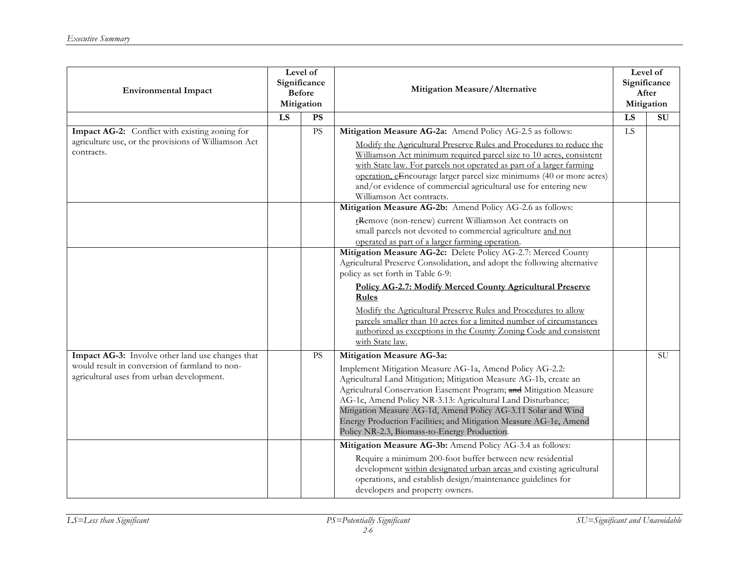| <b>Environmental Impact</b>                                                                                                                     | Level of<br>Significance<br><b>Before</b><br>Mitigation |           | Mitigation Measure/Alternative                                                                                                                                                                                                                                                                                                                                                                                                                                                               |                 | Level of<br>Significance<br>After<br>Mitigation |
|-------------------------------------------------------------------------------------------------------------------------------------------------|---------------------------------------------------------|-----------|----------------------------------------------------------------------------------------------------------------------------------------------------------------------------------------------------------------------------------------------------------------------------------------------------------------------------------------------------------------------------------------------------------------------------------------------------------------------------------------------|-----------------|-------------------------------------------------|
|                                                                                                                                                 | LS                                                      | <b>PS</b> |                                                                                                                                                                                                                                                                                                                                                                                                                                                                                              | LS              | SU                                              |
| Impact AG-2: Conflict with existing zoning for<br>agriculture use, or the provisions of Williamson Act<br>contracts.                            |                                                         | PS        | Mitigation Measure AG-2a: Amend Policy AG-2.5 as follows:<br>Modify the Agricultural Preserve Rules and Procedures to reduce the<br>Williamson Act minimum required parcel size to 10 acres, consistent<br>with State law. For parcels not operated as part of a larger farming<br>operation, eEncourage larger parcel size minimums (40 or more acres)<br>and/or evidence of commercial agricultural use for entering new<br>Williamson Act contracts.                                      | $\overline{LS}$ |                                                 |
|                                                                                                                                                 |                                                         |           | Mitigation Measure AG-2b: Amend Policy AG-2.6 as follows:<br>rRemove (non-renew) current Williamson Act contracts on<br>small parcels not devoted to commercial agriculture and not<br>operated as part of a larger farming operation.                                                                                                                                                                                                                                                       |                 |                                                 |
|                                                                                                                                                 |                                                         |           | Mitigation Measure AG-2c: Delete Policy AG-2.7: Merced County<br>Agricultural Preserve Consolidation, and adopt the following alternative<br>policy as set forth in Table 6-9:<br><b>Policy AG-2.7: Modify Merced County Agricultural Preserve</b><br>Rules<br>Modify the Agricultural Preserve Rules and Procedures to allow<br>parcels smaller than 10 acres for a limited number of circumstances<br>authorized as exceptions in the County Zoning Code and consistent<br>with State law. |                 |                                                 |
| Impact AG-3: Involve other land use changes that<br>would result in conversion of farmland to non-<br>agricultural uses from urban development. |                                                         | <b>PS</b> | Mitigation Measure AG-3a:<br>Implement Mitigation Measure AG-1a, Amend Policy AG-2.2:<br>Agricultural Land Mitigation; Mitigation Measure AG-1b, create an<br>Agricultural Conservation Easement Program; and Mitigation Measure<br>AG-1c, Amend Policy NR-3.13: Agricultural Land Disturbance;<br>Mitigation Measure AG-1d, Amend Policy AG-3.11 Solar and Wind<br>Energy Production Facilities; and Mitigation Measure AG-1e, Amend<br>Policy NR-2.3, Biomass-to-Energy Production.        |                 | <b>SU</b>                                       |
|                                                                                                                                                 |                                                         |           | Mitigation Measure AG-3b: Amend Policy AG-3.4 as follows:<br>Require a minimum 200-foot buffer between new residential<br>development within designated urban areas and existing agricultural<br>operations, and establish design/maintenance guidelines for<br>developers and property owners.                                                                                                                                                                                              |                 |                                                 |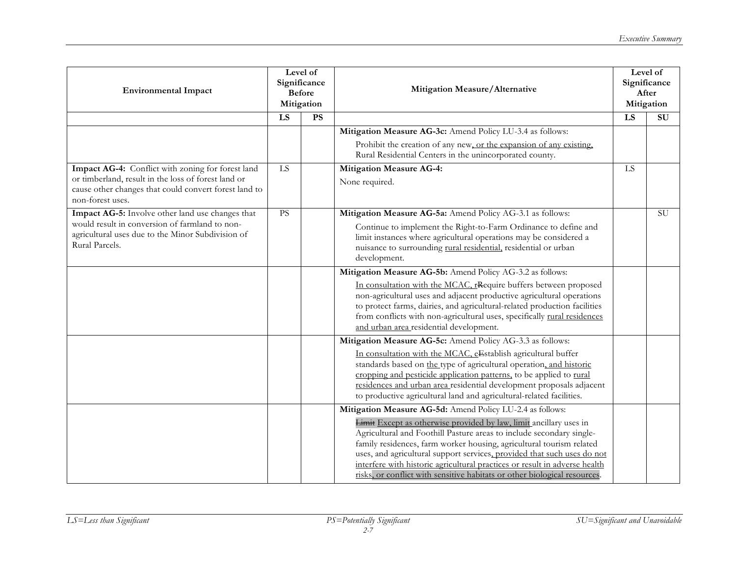| <b>Environmental Impact</b>                                                                                                      | Level of<br>Significance<br><b>Before</b><br>Mitigation |    | Mitigation Measure/Alternative                                                                                                                                                                                                                                                                                                                                                                                                                          |                 | Level of<br>Significance<br>After<br>Mitigation |
|----------------------------------------------------------------------------------------------------------------------------------|---------------------------------------------------------|----|---------------------------------------------------------------------------------------------------------------------------------------------------------------------------------------------------------------------------------------------------------------------------------------------------------------------------------------------------------------------------------------------------------------------------------------------------------|-----------------|-------------------------------------------------|
|                                                                                                                                  | $\overline{LS}$                                         | PS |                                                                                                                                                                                                                                                                                                                                                                                                                                                         | $\overline{LS}$ | $\overline{\mathrm{SU}}$                        |
|                                                                                                                                  |                                                         |    | Mitigation Measure AG-3c: Amend Policy LU-3.4 as follows:                                                                                                                                                                                                                                                                                                                                                                                               |                 |                                                 |
|                                                                                                                                  |                                                         |    | Prohibit the creation of any new, or the expansion of any existing,<br>Rural Residential Centers in the unincorporated county.                                                                                                                                                                                                                                                                                                                          |                 |                                                 |
| Impact AG-4: Conflict with zoning for forest land                                                                                | LS                                                      |    | <b>Mitigation Measure AG-4:</b>                                                                                                                                                                                                                                                                                                                                                                                                                         | LS              |                                                 |
| or timberland, result in the loss of forest land or<br>cause other changes that could convert forest land to<br>non-forest uses. |                                                         |    | None required.                                                                                                                                                                                                                                                                                                                                                                                                                                          |                 |                                                 |
| Impact AG-5: Involve other land use changes that                                                                                 | PS                                                      |    | Mitigation Measure AG-5a: Amend Policy AG-3.1 as follows:                                                                                                                                                                                                                                                                                                                                                                                               |                 | <b>SU</b>                                       |
| would result in conversion of farmland to non-<br>agricultural uses due to the Minor Subdivision of<br>Rural Parcels.            |                                                         |    | Continue to implement the Right-to-Farm Ordinance to define and<br>limit instances where agricultural operations may be considered a<br>nuisance to surrounding rural residential, residential or urban<br>development.                                                                                                                                                                                                                                 |                 |                                                 |
|                                                                                                                                  |                                                         |    | Mitigation Measure AG-5b: Amend Policy AG-3.2 as follows:                                                                                                                                                                                                                                                                                                                                                                                               |                 |                                                 |
|                                                                                                                                  |                                                         |    | In consultation with the MCAC, reequire buffers between proposed<br>non-agricultural uses and adjacent productive agricultural operations<br>to protect farms, dairies, and agricultural-related production facilities<br>from conflicts with non-agricultural uses, specifically rural residences<br>and urban area residential development.                                                                                                           |                 |                                                 |
|                                                                                                                                  |                                                         |    | Mitigation Measure AG-5c: Amend Policy AG-3.3 as follows:                                                                                                                                                                                                                                                                                                                                                                                               |                 |                                                 |
|                                                                                                                                  |                                                         |    | In consultation with the MCAC, eEstablish agricultural buffer<br>standards based on the type of agricultural operation, and historic<br>cropping and pesticide application patterns, to be applied to rural<br>residences and urban area residential development proposals adjacent<br>to productive agricultural land and agricultural-related facilities.                                                                                             |                 |                                                 |
|                                                                                                                                  |                                                         |    | Mitigation Measure AG-5d: Amend Policy LU-2.4 as follows:                                                                                                                                                                                                                                                                                                                                                                                               |                 |                                                 |
|                                                                                                                                  |                                                         |    | Limit Except as otherwise provided by law, limit ancillary uses in<br>Agricultural and Foothill Pasture areas to include secondary single-<br>family residences, farm worker housing, agricultural tourism related<br>uses, and agricultural support services, provided that such uses do not<br>interfere with historic agricultural practices or result in adverse health<br>risks, or conflict with sensitive habitats or other biological resources |                 |                                                 |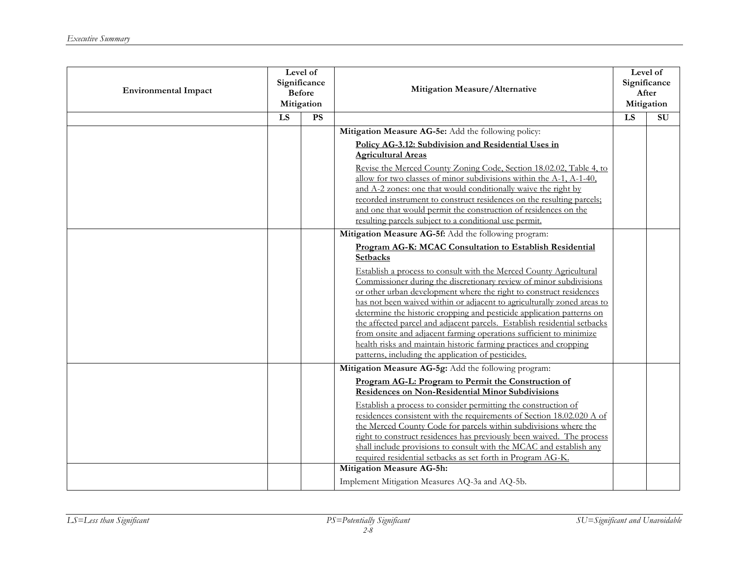| <b>Environmental Impact</b> | Level of<br>Significance<br><b>Before</b><br>Mitigation |    | Mitigation Measure/Alternative                                                                                                                                                                                                                                                                                                                                                                                                                                                                                                                                                                                                                                                                                                                                                         |                 | Level of<br>Significance<br>After<br>Mitigation |
|-----------------------------|---------------------------------------------------------|----|----------------------------------------------------------------------------------------------------------------------------------------------------------------------------------------------------------------------------------------------------------------------------------------------------------------------------------------------------------------------------------------------------------------------------------------------------------------------------------------------------------------------------------------------------------------------------------------------------------------------------------------------------------------------------------------------------------------------------------------------------------------------------------------|-----------------|-------------------------------------------------|
|                             | $\overline{LS}$                                         | PS |                                                                                                                                                                                                                                                                                                                                                                                                                                                                                                                                                                                                                                                                                                                                                                                        | $\overline{LS}$ | SU                                              |
|                             |                                                         |    | Mitigation Measure AG-5e: Add the following policy:<br>Policy AG-3.12: Subdivision and Residential Uses in<br><b>Agricultural Areas</b><br>Revise the Merced County Zoning Code, Section 18.02.02, Table 4, to<br>allow for two classes of minor subdivisions within the A-1, A-1-40,<br>and A-2 zones: one that would conditionally waive the right by<br>recorded instrument to construct residences on the resulting parcels;<br>and one that would permit the construction of residences on the<br>resulting parcels subject to a conditional use permit.                                                                                                                                                                                                                          |                 |                                                 |
|                             |                                                         |    | Mitigation Measure AG-5f: Add the following program:<br>Program AG-K: MCAC Consultation to Establish Residential<br><b>Setbacks</b><br>Establish a process to consult with the Merced County Agricultural<br>Commissioner during the discretionary review of minor subdivisions<br>or other urban development where the right to construct residences<br>has not been waived within or adjacent to agriculturally zoned areas to<br>determine the historic cropping and pesticide application patterns on<br>the affected parcel and adjacent parcels. Establish residential setbacks<br>from onsite and adjacent farming operations sufficient to minimize<br>health risks and maintain historic farming practices and cropping<br>patterns, including the application of pesticides. |                 |                                                 |
|                             |                                                         |    | Mitigation Measure AG-5g: Add the following program:<br>Program AG-L: Program to Permit the Construction of<br><b>Residences on Non-Residential Minor Subdivisions</b><br>Establish a process to consider permitting the construction of<br>residences consistent with the requirements of Section 18.02.020 A of<br>the Merced County Code for parcels within subdivisions where the<br>right to construct residences has previously been waived. The process<br>shall include provisions to consult with the MCAC and establish any<br>required residential setbacks as set forth in Program AG-K.<br>Mitigation Measure AG-5h:<br>Implement Mitigation Measures AQ-3a and AQ-5b.                                                                                                    |                 |                                                 |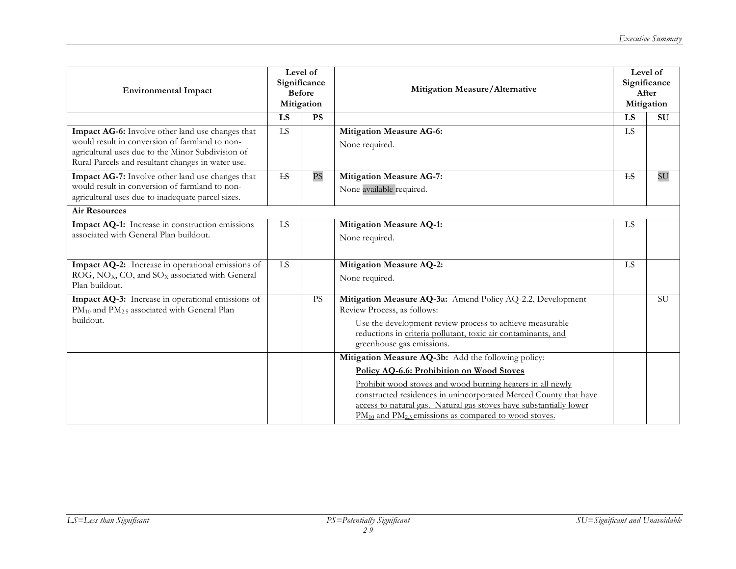| <b>Environmental Impact</b>                                                                                                                                                                                  | Level of<br>Significance<br><b>Before</b><br>Mitigation |           | Mitigation Measure/Alternative                                                                                                                                                                                                                                                                                                                                             |           | Level of<br>Significance<br>After<br>Mitigation |
|--------------------------------------------------------------------------------------------------------------------------------------------------------------------------------------------------------------|---------------------------------------------------------|-----------|----------------------------------------------------------------------------------------------------------------------------------------------------------------------------------------------------------------------------------------------------------------------------------------------------------------------------------------------------------------------------|-----------|-------------------------------------------------|
|                                                                                                                                                                                                              | LS                                                      | <b>PS</b> |                                                                                                                                                                                                                                                                                                                                                                            | LS        | <b>SU</b>                                       |
| Impact AG-6: Involve other land use changes that<br>would result in conversion of farmland to non-<br>agricultural uses due to the Minor Subdivision of<br>Rural Parcels and resultant changes in water use. | LS                                                      |           | <b>Mitigation Measure AG-6:</b><br>None required.                                                                                                                                                                                                                                                                                                                          | <b>LS</b> |                                                 |
| Impact AG-7: Involve other land use changes that<br>would result in conversion of farmland to non-<br>agricultural uses due to inadequate parcel sizes.                                                      | E                                                       | <b>PS</b> | <b>Mitigation Measure AG-7:</b><br>None available required.                                                                                                                                                                                                                                                                                                                | <b>LS</b> | SU                                              |
| <b>Air Resources</b>                                                                                                                                                                                         |                                                         |           |                                                                                                                                                                                                                                                                                                                                                                            |           |                                                 |
| Impact AQ-1: Increase in construction emissions<br>associated with General Plan buildout.                                                                                                                    | LS                                                      |           | <b>Mitigation Measure AQ-1:</b><br>None required.                                                                                                                                                                                                                                                                                                                          | LS        |                                                 |
| Impact AQ-2: Increase in operational emissions of<br>ROG, NO <sub>X</sub> , CO, and SO <sub>X</sub> associated with General<br>Plan buildout.                                                                | LS                                                      |           | <b>Mitigation Measure AQ-2:</b><br>None required.                                                                                                                                                                                                                                                                                                                          | <b>LS</b> |                                                 |
| Impact AQ-3: Increase in operational emissions of<br>PM <sub>10</sub> and PM <sub>2.5</sub> associated with General Plan<br>buildout.                                                                        |                                                         | <b>PS</b> | Mitigation Measure AQ-3a: Amend Policy AQ-2.2, Development<br>Review Process, as follows:<br>Use the development review process to achieve measurable<br>reductions in criteria pollutant, toxic air contaminants, and<br>greenhouse gas emissions.                                                                                                                        |           | <b>SU</b>                                       |
|                                                                                                                                                                                                              |                                                         |           | Mitigation Measure AQ-3b: Add the following policy:<br>Policy AQ-6.6: Prohibition on Wood Stoves<br>Prohibit wood stoves and wood burning heaters in all newly<br>constructed residences in unincorporated Merced County that have<br>access to natural gas. Natural gas stoves have substantially lower<br>$PM_{10}$ and $PM_{2.5}$ emissions as compared to wood stoves. |           |                                                 |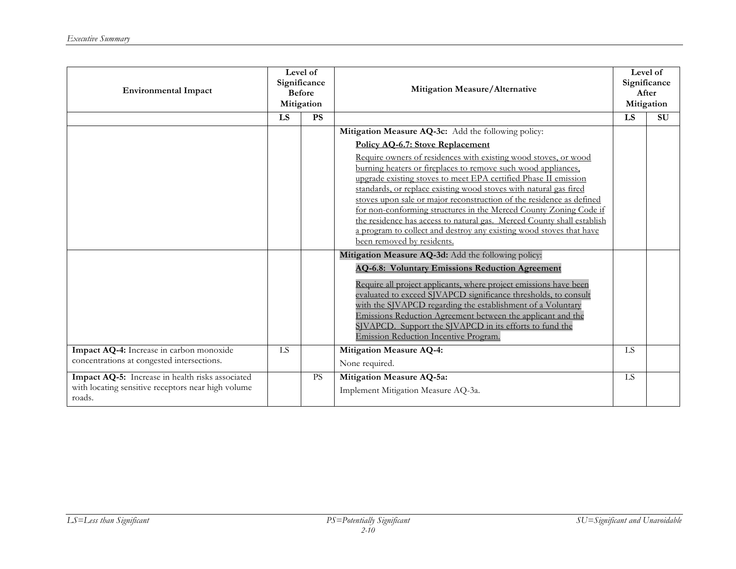| <b>Environmental Impact</b>                                                            | Level of<br>Significance<br><b>Before</b><br>Mitigation |           | Mitigation Measure/Alternative                                                                                                            |           | Level of<br>Significance<br>After<br>Mitigation |
|----------------------------------------------------------------------------------------|---------------------------------------------------------|-----------|-------------------------------------------------------------------------------------------------------------------------------------------|-----------|-------------------------------------------------|
|                                                                                        | <b>LS</b>                                               | <b>PS</b> |                                                                                                                                           | LS        | <b>SU</b>                                       |
|                                                                                        |                                                         |           | Mitigation Measure AQ-3c: Add the following policy:                                                                                       |           |                                                 |
|                                                                                        |                                                         |           | <b>Policy AQ-6.7: Stove Replacement</b>                                                                                                   |           |                                                 |
|                                                                                        |                                                         |           | Require owners of residences with existing wood stoves, or wood                                                                           |           |                                                 |
|                                                                                        |                                                         |           | burning heaters or fireplaces to remove such wood appliances,                                                                             |           |                                                 |
|                                                                                        |                                                         |           | upgrade existing stoves to meet EPA certified Phase II emission                                                                           |           |                                                 |
|                                                                                        |                                                         |           | standards, or replace existing wood stoves with natural gas fired<br>stoves upon sale or major reconstruction of the residence as defined |           |                                                 |
|                                                                                        |                                                         |           | for non-conforming structures in the Merced County Zoning Code if                                                                         |           |                                                 |
|                                                                                        |                                                         |           | the residence has access to natural gas. Merced County shall establish                                                                    |           |                                                 |
|                                                                                        |                                                         |           | a program to collect and destroy any existing wood stoves that have                                                                       |           |                                                 |
|                                                                                        |                                                         |           | been removed by residents.                                                                                                                |           |                                                 |
|                                                                                        |                                                         |           | Mitigation Measure AQ-3d: Add the following policy:                                                                                       |           |                                                 |
|                                                                                        |                                                         |           | <b>AQ-6.8: Voluntary Emissions Reduction Agreement</b>                                                                                    |           |                                                 |
|                                                                                        |                                                         |           | Require all project applicants, where project emissions have been                                                                         |           |                                                 |
|                                                                                        |                                                         |           | evaluated to exceed SJVAPCD significance thresholds, to consult                                                                           |           |                                                 |
|                                                                                        |                                                         |           | with the SJVAPCD regarding the establishment of a Voluntary                                                                               |           |                                                 |
|                                                                                        |                                                         |           | Emissions Reduction Agreement between the applicant and the                                                                               |           |                                                 |
|                                                                                        |                                                         |           | SJVAPCD. Support the SJVAPCD in its efforts to fund the<br>Emission Reduction Incentive Program.                                          |           |                                                 |
|                                                                                        |                                                         |           |                                                                                                                                           |           |                                                 |
| Impact AQ-4: Increase in carbon monoxide<br>concentrations at congested intersections. | LS                                                      |           | <b>Mitigation Measure AQ-4:</b>                                                                                                           | <b>LS</b> |                                                 |
|                                                                                        |                                                         |           | None required.                                                                                                                            |           |                                                 |
| Impact AQ-5: Increase in health risks associated                                       |                                                         | <b>PS</b> | Mitigation Measure AQ-5a:                                                                                                                 | <b>LS</b> |                                                 |
| with locating sensitive receptors near high volume<br>roads.                           |                                                         |           | Implement Mitigation Measure AQ-3a.                                                                                                       |           |                                                 |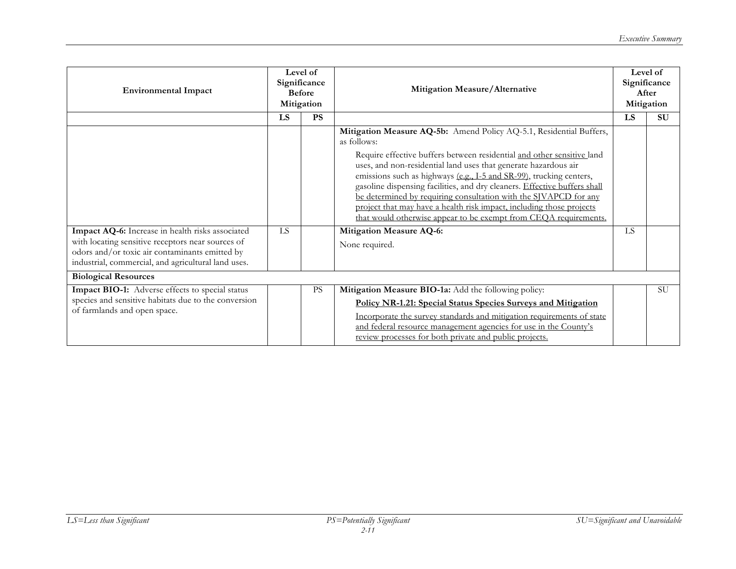| <b>Environmental Impact</b>                                                                                                                                                                                    | Level of<br>Significance<br><b>Before</b><br>Mitigation |           | Mitigation Measure/Alternative                                                                                                                                                                                                                                                                                                                                                                                                                                                                                                                                                                      |           | Level of<br>Significance<br>After<br>Mitigation |
|----------------------------------------------------------------------------------------------------------------------------------------------------------------------------------------------------------------|---------------------------------------------------------|-----------|-----------------------------------------------------------------------------------------------------------------------------------------------------------------------------------------------------------------------------------------------------------------------------------------------------------------------------------------------------------------------------------------------------------------------------------------------------------------------------------------------------------------------------------------------------------------------------------------------------|-----------|-------------------------------------------------|
|                                                                                                                                                                                                                | LS                                                      | <b>PS</b> |                                                                                                                                                                                                                                                                                                                                                                                                                                                                                                                                                                                                     | LS        | <b>SU</b>                                       |
|                                                                                                                                                                                                                |                                                         |           | Mitigation Measure AQ-5b: Amend Policy AQ-5.1, Residential Buffers,<br>as follows:<br>Require effective buffers between residential and other sensitive land<br>uses, and non-residential land uses that generate hazardous air<br>emissions such as highways (e.g., I-5 and SR-99), trucking centers,<br>gasoline dispensing facilities, and dry cleaners. Effective buffers shall<br>be determined by requiring consultation with the SJVAPCD for any<br>project that may have a health risk impact, including those projects<br>that would otherwise appear to be exempt from CEQA requirements. |           |                                                 |
| Impact AQ-6: Increase in health risks associated<br>with locating sensitive receptors near sources of<br>odors and/or toxic air contaminants emitted by<br>industrial, commercial, and agricultural land uses. | <b>LS</b>                                               |           | <b>Mitigation Measure AQ-6:</b><br>None required.                                                                                                                                                                                                                                                                                                                                                                                                                                                                                                                                                   | <b>LS</b> |                                                 |
| <b>Biological Resources</b>                                                                                                                                                                                    |                                                         |           |                                                                                                                                                                                                                                                                                                                                                                                                                                                                                                                                                                                                     |           |                                                 |
| Impact BIO-1: Adverse effects to special status<br>species and sensitive habitats due to the conversion<br>of farmlands and open space.                                                                        |                                                         | <b>PS</b> | Mitigation Measure BIO-1a: Add the following policy:<br>Policy NR-1.21: Special Status Species Surveys and Mitigation<br>Incorporate the survey standards and mitigation requirements of state<br>and federal resource management agencies for use in the County's<br>review processes for both private and public projects.                                                                                                                                                                                                                                                                        |           | <b>SU</b>                                       |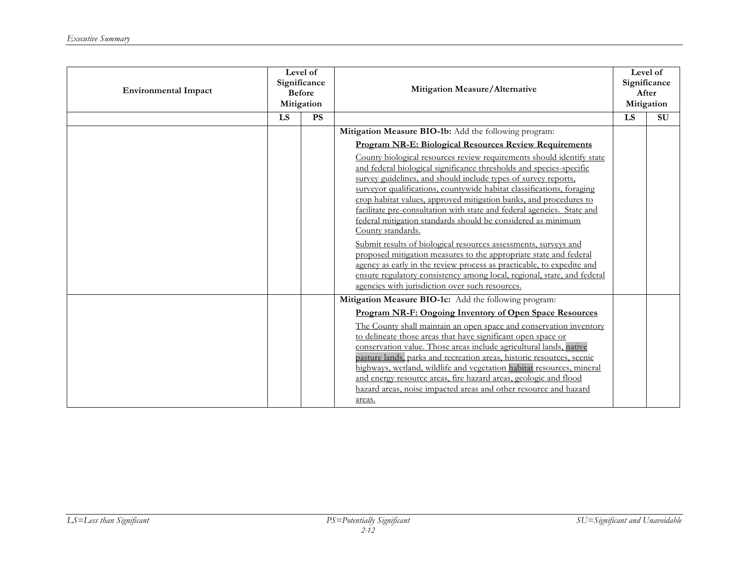| <b>Environmental Impact</b> | Level of<br>Significance<br><b>Before</b><br>Mitigation |           | Mitigation Measure/Alternative                                                                                                                                                                                                                                                                                                                                                                                                                                                                                                                                                                                                                                                                                                                                                                                                                                             |    | Level $\overline{of}$<br>Significance<br>After<br>Mitigation |
|-----------------------------|---------------------------------------------------------|-----------|----------------------------------------------------------------------------------------------------------------------------------------------------------------------------------------------------------------------------------------------------------------------------------------------------------------------------------------------------------------------------------------------------------------------------------------------------------------------------------------------------------------------------------------------------------------------------------------------------------------------------------------------------------------------------------------------------------------------------------------------------------------------------------------------------------------------------------------------------------------------------|----|--------------------------------------------------------------|
|                             | LS                                                      | <b>PS</b> |                                                                                                                                                                                                                                                                                                                                                                                                                                                                                                                                                                                                                                                                                                                                                                                                                                                                            | LS | <b>SU</b>                                                    |
|                             |                                                         |           | Mitigation Measure BIO-1b: Add the following program:                                                                                                                                                                                                                                                                                                                                                                                                                                                                                                                                                                                                                                                                                                                                                                                                                      |    |                                                              |
|                             |                                                         |           | <b>Program NR-E: Biological Resources Review Requirements</b>                                                                                                                                                                                                                                                                                                                                                                                                                                                                                                                                                                                                                                                                                                                                                                                                              |    |                                                              |
|                             |                                                         |           | County biological resources review requirements should identify state<br>and federal biological significance thresholds and species-specific<br>survey guidelines, and should include types of survey reports,<br>surveyor qualifications, countywide habitat classifications, foraging<br>crop habitat values, approved mitigation banks, and procedures to<br>facilitate pre-consultation with state and federal agencies. State and<br>federal mitigation standards should be considered as minimum<br>County standards.<br>Submit results of biological resources assessments, surveys and<br>proposed mitigation measures to the appropriate state and federal<br>agency as early in the review process as practicable, to expedite and<br>ensure regulatory consistency among local, regional, state, and federal<br>agencies with jurisdiction over such resources. |    |                                                              |
|                             |                                                         |           | Mitigation Measure BIO-1c: Add the following program:                                                                                                                                                                                                                                                                                                                                                                                                                                                                                                                                                                                                                                                                                                                                                                                                                      |    |                                                              |
|                             |                                                         |           | Program NR-F: Ongoing Inventory of Open Space Resources<br>The County shall maintain an open space and conservation inventory<br>to delineate those areas that have significant open space or<br>conservation value. Those areas include agricultural lands, native<br>pasture lands, parks and recreation areas, historic resources, scenic<br>highways, wetland, wildlife and vegetation habitat resources, mineral<br>and energy resource areas, fire hazard areas, geologic and flood<br>hazard areas, noise impacted areas and other resource and hazard<br>areas.                                                                                                                                                                                                                                                                                                    |    |                                                              |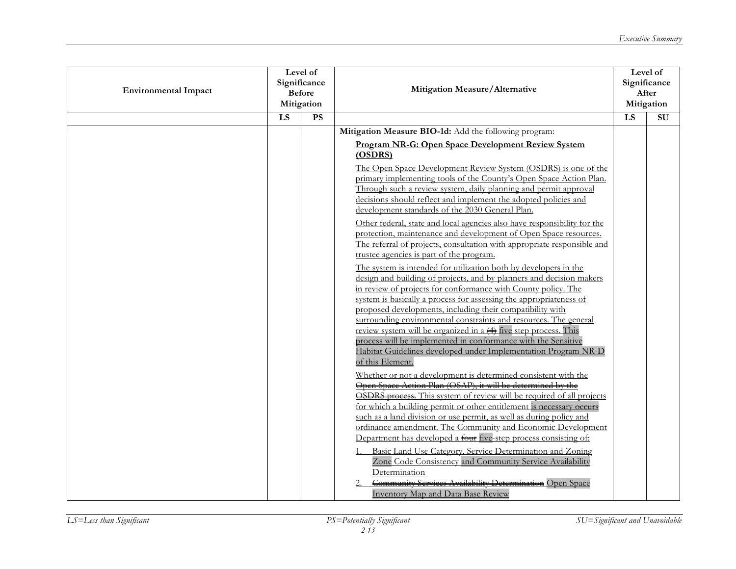| <b>Environmental Impact</b> | Level of<br>Significance<br><b>Before</b><br>Mitigation |    | Mitigation Measure/Alternative                                                                                                                                                                                                                                                                                                                                                                                                                                                                                                                                                                                                                                                                                                                                                                                                                                                                                                                                                                                                                                                                                                                                                                                                                                                                                                                                                  |    | Level of<br>Significance<br>After<br>Mitigation |
|-----------------------------|---------------------------------------------------------|----|---------------------------------------------------------------------------------------------------------------------------------------------------------------------------------------------------------------------------------------------------------------------------------------------------------------------------------------------------------------------------------------------------------------------------------------------------------------------------------------------------------------------------------------------------------------------------------------------------------------------------------------------------------------------------------------------------------------------------------------------------------------------------------------------------------------------------------------------------------------------------------------------------------------------------------------------------------------------------------------------------------------------------------------------------------------------------------------------------------------------------------------------------------------------------------------------------------------------------------------------------------------------------------------------------------------------------------------------------------------------------------|----|-------------------------------------------------|
|                             | LS                                                      | PS |                                                                                                                                                                                                                                                                                                                                                                                                                                                                                                                                                                                                                                                                                                                                                                                                                                                                                                                                                                                                                                                                                                                                                                                                                                                                                                                                                                                 | LS | $\overline{\mathrm{SU}}$                        |
|                             |                                                         |    | Mitigation Measure BIO-1d: Add the following program:<br><b>Program NR-G: Open Space Development Review System</b><br>(OSDRS)<br>The Open Space Development Review System (OSDRS) is one of the<br>primary implementing tools of the County's Open Space Action Plan.<br>Through such a review system, daily planning and permit approval<br>decisions should reflect and implement the adopted policies and<br>development standards of the 2030 General Plan.<br>Other federal, state and local agencies also have responsibility for the<br>protection, maintenance and development of Open Space resources.<br>The referral of projects, consultation with appropriate responsible and<br>trustee agencies is part of the program.<br>The system is intended for utilization both by developers in the<br>design and building of projects, and by planners and decision makers<br>in review of projects for conformance with County policy. The<br>system is basically a process for assessing the appropriateness of<br>proposed developments, including their compatibility with<br>surrounding environmental constraints and resources. The general<br>review system will be organized in a $\leftrightarrow$ five step process. This<br>process will be implemented in conformance with the Sensitive<br>Habitat Guidelines developed under Implementation Program NR-D |    |                                                 |
|                             |                                                         |    | of this Element.<br>Whether or not a development is determined consistent with the<br>Open Space Action Plan (OSAP), it will be determined by the<br><b>OSDRS</b> process. This system of review will be required of all projects<br>for which a building permit or other entitlement is necessary occurs<br>such as a land division or use permit, as well as during policy and<br>ordinance amendment. The Community and Economic Development<br>Department has developed a four five-step process consisting of:<br>Basic Land Use Category, Service Determination and Zoning<br>Zone Code Consistency and Community Service Availability<br>Determination<br>Community Services Availability Determination Open Space<br><b>Inventory Map and Data Base Review</b>                                                                                                                                                                                                                                                                                                                                                                                                                                                                                                                                                                                                          |    |                                                 |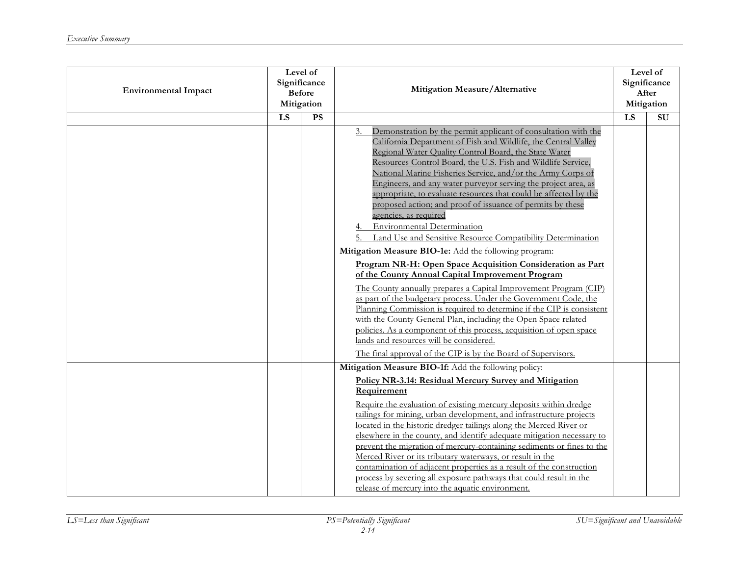| <b>Environmental Impact</b> | Level of<br>Significance<br><b>Before</b><br>Mitigation |           | Mitigation Measure/Alternative                                                                                                                                                                                                                                                                                                                                                                                                                                                                                                                                                                                                                                                                                                                                    |     | Level of<br>Significance<br>After<br>Mitigation |
|-----------------------------|---------------------------------------------------------|-----------|-------------------------------------------------------------------------------------------------------------------------------------------------------------------------------------------------------------------------------------------------------------------------------------------------------------------------------------------------------------------------------------------------------------------------------------------------------------------------------------------------------------------------------------------------------------------------------------------------------------------------------------------------------------------------------------------------------------------------------------------------------------------|-----|-------------------------------------------------|
|                             | LS                                                      | <b>PS</b> |                                                                                                                                                                                                                                                                                                                                                                                                                                                                                                                                                                                                                                                                                                                                                                   | LS. | SU                                              |
|                             |                                                         |           | Demonstration by the permit applicant of consultation with the<br>3.<br>California Department of Fish and Wildlife, the Central Valley<br>Regional Water Quality Control Board, the State Water<br>Resources Control Board, the U.S. Fish and Wildlife Service,<br>National Marine Fisheries Service, and/or the Army Corps of<br>Engineers, and any water purveyor serving the project area, as<br>appropriate, to evaluate resources that could be affected by the<br>proposed action; and proof of issuance of permits by these<br>agencies, as required<br><b>Environmental Determination</b><br>Land Use and Sensitive Resource Compatibility Determination                                                                                                  |     |                                                 |
|                             |                                                         |           | Mitigation Measure BIO-1e: Add the following program:<br>Program NR-H: Open Space Acquisition Consideration as Part<br>of the County Annual Capital Improvement Program<br>The County annually prepares a Capital Improvement Program (CIP)<br>as part of the budgetary process. Under the Government Code, the<br>Planning Commission is required to determine if the CIP is consistent<br>with the County General Plan, including the Open Space related<br>policies. As a component of this process, acquisition of open space<br>lands and resources will be considered.<br>The final approval of the CIP is by the Board of Supervisors.                                                                                                                     |     |                                                 |
|                             |                                                         |           | Mitigation Measure BIO-1f: Add the following policy:<br>Policy NR-3.14: Residual Mercury Survey and Mitigation<br>Requirement<br>Require the evaluation of existing mercury deposits within dredge<br>tailings for mining, urban development, and infrastructure projects<br>located in the historic dredger tailings along the Merced River or<br>elsewhere in the county, and identify adequate mitigation necessary to<br>prevent the migration of mercury-containing sediments or fines to the<br>Merced River or its tributary waterways, or result in the<br>contamination of adjacent properties as a result of the construction<br>process by severing all exposure pathways that could result in the<br>release of mercury into the aquatic environment. |     |                                                 |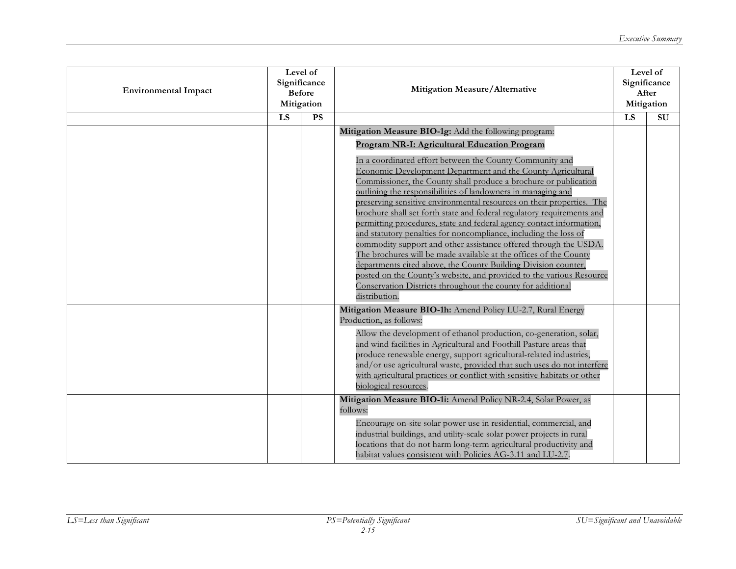| <b>Environmental Impact</b> | Level of<br>Significance<br><b>Before</b><br>Mitigation |           | Mitigation Measure/Alternative                                                                                                                                                                                                                                                                                                                                                                                                                                                                                                                                                                                                                                                                                                                                                                                                                                                                                                                                                                                                                |    | Level of<br>Significance<br>After<br>Mitigation |
|-----------------------------|---------------------------------------------------------|-----------|-----------------------------------------------------------------------------------------------------------------------------------------------------------------------------------------------------------------------------------------------------------------------------------------------------------------------------------------------------------------------------------------------------------------------------------------------------------------------------------------------------------------------------------------------------------------------------------------------------------------------------------------------------------------------------------------------------------------------------------------------------------------------------------------------------------------------------------------------------------------------------------------------------------------------------------------------------------------------------------------------------------------------------------------------|----|-------------------------------------------------|
|                             | LS                                                      | <b>PS</b> |                                                                                                                                                                                                                                                                                                                                                                                                                                                                                                                                                                                                                                                                                                                                                                                                                                                                                                                                                                                                                                               | LS | SU                                              |
|                             |                                                         |           | Mitigation Measure BIO-1g: Add the following program:<br><b>Program NR-I: Agricultural Education Program</b><br>In a coordinated effort between the County Community and<br>Economic Development Department and the County Agricultural<br>Commissioner, the County shall produce a brochure or publication<br>outlining the responsibilities of landowners in managing and<br>preserving sensitive environmental resources on their properties. The<br>brochure shall set forth state and federal regulatory requirements and<br>permitting procedures, state and federal agency contact information,<br>and statutory penalties for noncompliance, including the loss of<br>commodity support and other assistance offered through the USDA.<br>The brochures will be made available at the offices of the County<br>departments cited above, the County Building Division counter,<br>posted on the County's website, and provided to the various Resource<br>Conservation Districts throughout the county for additional<br>distribution. |    |                                                 |
|                             |                                                         |           | Mitigation Measure BIO-1h: Amend Policy LU-2.7, Rural Energy<br>Production, as follows:<br>Allow the development of ethanol production, co-generation, solar,<br>and wind facilities in Agricultural and Foothill Pasture areas that<br>produce renewable energy, support agricultural-related industries,<br>and/or use agricultural waste, provided that such uses do not interfere<br>with agricultural practices or conflict with sensitive habitats or other<br>biological resources.                                                                                                                                                                                                                                                                                                                                                                                                                                                                                                                                                    |    |                                                 |
|                             |                                                         |           | Mitigation Measure BIO-1i: Amend Policy NR-2.4, Solar Power, as<br>follows:<br>Encourage on-site solar power use in residential, commercial, and<br>industrial buildings, and utility-scale solar power projects in rural<br>locations that do not harm long-term agricultural productivity and<br>habitat values consistent with Policies AG-3.11 and LU-2.7.                                                                                                                                                                                                                                                                                                                                                                                                                                                                                                                                                                                                                                                                                |    |                                                 |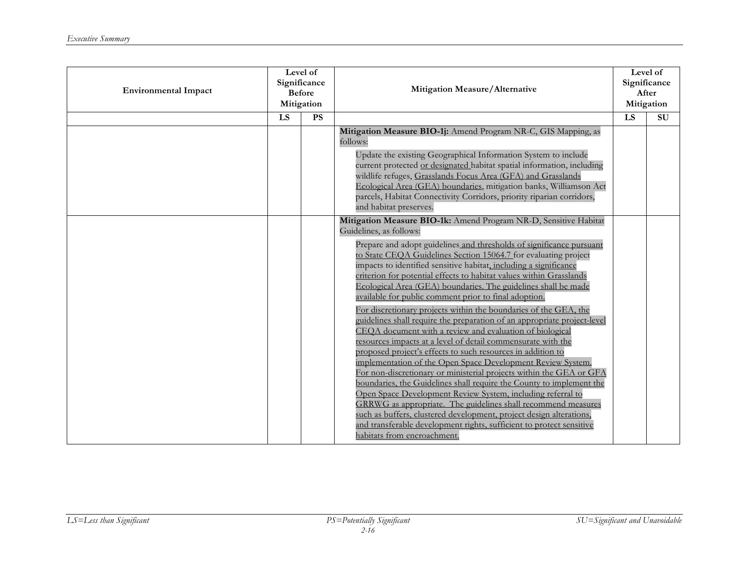| <b>Environmental Impact</b> | Level of<br>Significance<br><b>Before</b><br>Mitigation |                 | Mitigation Measure/Alternative                                                                                                                                                                                                                                                                                                                                                                                                                                                                                                                                                                                                                                                                                                                                                                                                                                                                                                                                                                                                                                                                                                                                                                                                                                                                                                                                                       | Level of<br>Significance<br>After<br>Mitigation |                     |
|-----------------------------|---------------------------------------------------------|-----------------|--------------------------------------------------------------------------------------------------------------------------------------------------------------------------------------------------------------------------------------------------------------------------------------------------------------------------------------------------------------------------------------------------------------------------------------------------------------------------------------------------------------------------------------------------------------------------------------------------------------------------------------------------------------------------------------------------------------------------------------------------------------------------------------------------------------------------------------------------------------------------------------------------------------------------------------------------------------------------------------------------------------------------------------------------------------------------------------------------------------------------------------------------------------------------------------------------------------------------------------------------------------------------------------------------------------------------------------------------------------------------------------|-------------------------------------------------|---------------------|
|                             | $\overline{LS}$                                         | $\overline{PS}$ |                                                                                                                                                                                                                                                                                                                                                                                                                                                                                                                                                                                                                                                                                                                                                                                                                                                                                                                                                                                                                                                                                                                                                                                                                                                                                                                                                                                      | $\overline{LS}$                                 | $\overline{\rm SU}$ |
|                             |                                                         |                 | Mitigation Measure BIO-1j: Amend Program NR-C, GIS Mapping, as<br>follows:<br>Update the existing Geographical Information System to include<br>current protected or designated habitat spatial information, including<br>wildlife refuges, Grasslands Focus Area (GFA) and Grasslands<br>Ecological Area (GEA) boundaries, mitigation banks, Williamson Act<br>parcels, Habitat Connectivity Corridors, priority riparian corridors,<br>and habitat preserves.                                                                                                                                                                                                                                                                                                                                                                                                                                                                                                                                                                                                                                                                                                                                                                                                                                                                                                                      |                                                 |                     |
|                             |                                                         |                 | Mitigation Measure BIO-1k: Amend Program NR-D, Sensitive Habitat<br>Guidelines, as follows:<br>Prepare and adopt guidelines and thresholds of significance pursuant<br>to State CEQA Guidelines Section 15064.7 for evaluating project<br>impacts to identified sensitive habitat, including a significance<br>criterion for potential effects to habitat values within Grasslands<br>Ecological Area (GEA) boundaries. The guidelines shall be made<br>available for public comment prior to final adoption.<br>For discretionary projects within the boundaries of the GEA, the<br>guidelines shall require the preparation of an appropriate project-level<br>CEQA document with a review and evaluation of biological<br>resources impacts at a level of detail commensurate with the<br>proposed project's effects to such resources in addition to<br>implementation of the Open Space Development Review System.<br>For non-discretionary or ministerial projects within the GEA or GFA<br>boundaries, the Guidelines shall require the County to implement the<br>Open Space Development Review System, including referral to<br>GRRWG as appropriate. The guidelines shall recommend measures<br>such as buffers, clustered development, project design alterations,<br>and transferable development rights, sufficient to protect sensitive<br>habitats from encroachment. |                                                 |                     |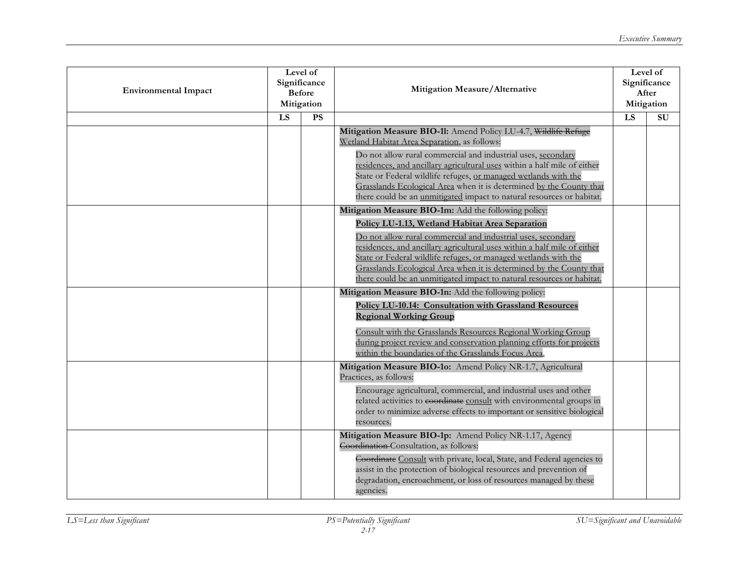| <b>Environmental Impact</b> | Level of<br>Significance<br><b>Before</b><br>Mitigation |    | Mitigation Measure/Alternative                                                                                                                                                                                                                                                                                                                                                                                                                                                 |    | Level of<br>Significance<br>After<br>Mitigation |
|-----------------------------|---------------------------------------------------------|----|--------------------------------------------------------------------------------------------------------------------------------------------------------------------------------------------------------------------------------------------------------------------------------------------------------------------------------------------------------------------------------------------------------------------------------------------------------------------------------|----|-------------------------------------------------|
|                             | LS                                                      | PS |                                                                                                                                                                                                                                                                                                                                                                                                                                                                                | LS | $\overline{\rm SU}$                             |
|                             |                                                         |    | Mitigation Measure BIO-11: Amend Policy LU-4.7, Wildlife Refuge<br>Wetland Habitat Area Separation, as follows:<br>Do not allow rural commercial and industrial uses, secondary<br>residences, and ancillary agricultural uses within a half mile of either<br>State or Federal wildlife refuges, or managed wetlands with the<br>Grasslands Ecological Area when it is determined by the County that<br>there could be an unmitigated impact to natural resources or habitat. |    |                                                 |
|                             |                                                         |    | Mitigation Measure BIO-1m: Add the following policy:                                                                                                                                                                                                                                                                                                                                                                                                                           |    |                                                 |
|                             |                                                         |    | Policy LU-1.13, Wetland Habitat Area Separation<br>Do not allow rural commercial and industrial uses, secondary<br>residences, and ancillary agricultural uses within a half mile of either<br>State or Federal wildlife refuges, or managed wetlands with the<br>Grasslands Ecological Area when it is determined by the County that<br>there could be an unmitigated impact to natural resources or habitat.                                                                 |    |                                                 |
|                             |                                                         |    | Mitigation Measure BIO-1n: Add the following policy:<br><b>Policy LU-10.14: Consultation with Grassland Resources</b><br><b>Regional Working Group</b><br>Consult with the Grasslands Resources Regional Working Group<br>during project review and conservation planning efforts for projects<br>within the boundaries of the Grasslands Focus Area.                                                                                                                          |    |                                                 |
|                             |                                                         |    | Mitigation Measure BIO-1o: Amend Policy NR-1.7, Agricultural<br>Practices, as follows:<br>Encourage agricultural, commercial, and industrial uses and other<br>related activities to coordinate consult with environmental groups in<br>order to minimize adverse effects to important or sensitive biological<br>resources.                                                                                                                                                   |    |                                                 |
|                             |                                                         |    | Mitigation Measure BIO-1p: Amend Policy NR-1.17, Agency<br>Coordination Consultation, as follows:<br>Coordinate Consult with private, local, State, and Federal agencies to<br>assist in the protection of biological resources and prevention of<br>degradation, encroachment, or loss of resources managed by these<br>agencies.                                                                                                                                             |    |                                                 |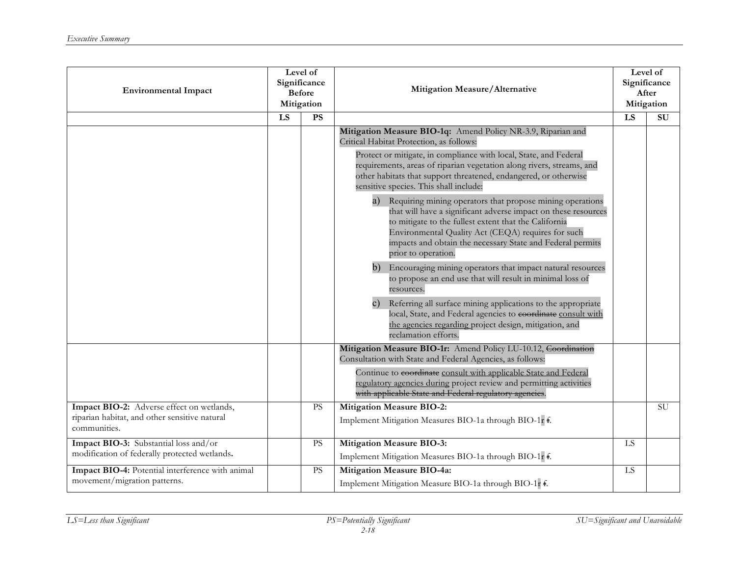| <b>Environmental Impact</b>                                   | Level of<br>Significance<br><b>Before</b><br>Mitigation |           | Mitigation Measure/Alternative                                                                                                                                                                                                                                                                                                     |           | Level of<br>Significance<br>After<br>Mitigation |
|---------------------------------------------------------------|---------------------------------------------------------|-----------|------------------------------------------------------------------------------------------------------------------------------------------------------------------------------------------------------------------------------------------------------------------------------------------------------------------------------------|-----------|-------------------------------------------------|
|                                                               | LS                                                      | PS        |                                                                                                                                                                                                                                                                                                                                    | LS        | $\overline{\rm SU}$                             |
|                                                               |                                                         |           | Mitigation Measure BIO-1q: Amend Policy NR-3.9, Riparian and<br>Critical Habitat Protection, as follows:                                                                                                                                                                                                                           |           |                                                 |
|                                                               |                                                         |           | Protect or mitigate, in compliance with local, State, and Federal<br>requirements, areas of riparian vegetation along rivers, streams, and<br>other habitats that support threatened, endangered, or otherwise<br>sensitive species. This shall include:                                                                           |           |                                                 |
|                                                               |                                                         |           | a) Requiring mining operators that propose mining operations<br>that will have a significant adverse impact on these resources<br>to mitigate to the fullest extent that the California<br>Environmental Quality Act (CEQA) requires for such<br>impacts and obtain the necessary State and Federal permits<br>prior to operation. |           |                                                 |
|                                                               |                                                         |           | b)<br>Encouraging mining operators that impact natural resources<br>to propose an end use that will result in minimal loss of<br>resources.                                                                                                                                                                                        |           |                                                 |
|                                                               |                                                         |           | Referring all surface mining applications to the appropriate<br>$\mathbf{c})$<br>local, State, and Federal agencies to coordinate consult with<br>the agencies regarding project design, mitigation, and<br>reclamation efforts.                                                                                                   |           |                                                 |
|                                                               |                                                         |           | Mitigation Measure BIO-1r: Amend Policy LU-10.12, Coordination                                                                                                                                                                                                                                                                     |           |                                                 |
|                                                               |                                                         |           | Consultation with State and Federal Agencies, as follows:<br>Continue to coordinate consult with applicable State and Federal<br>regulatory agencies during project review and permitting activities<br>with applicable State and Federal regulatory agencies.                                                                     |           |                                                 |
| Impact BIO-2: Adverse effect on wetlands,                     |                                                         | <b>PS</b> | <b>Mitigation Measure BIO-2:</b>                                                                                                                                                                                                                                                                                                   |           | <b>SU</b>                                       |
| riparian habitat, and other sensitive natural<br>communities. |                                                         |           | Implement Mitigation Measures BIO-1a through BIO-1r f.                                                                                                                                                                                                                                                                             |           |                                                 |
| Impact BIO-3: Substantial loss and/or                         |                                                         | PS        | <b>Mitigation Measure BIO-3:</b>                                                                                                                                                                                                                                                                                                   | <b>LS</b> |                                                 |
| modification of federally protected wetlands.                 |                                                         |           | Implement Mitigation Measures BIO-1a through BIO-1r f.                                                                                                                                                                                                                                                                             |           |                                                 |
| Impact BIO-4: Potential interference with animal              |                                                         | <b>PS</b> | <b>Mitigation Measure BIO-4a:</b>                                                                                                                                                                                                                                                                                                  | LS        |                                                 |
| movement/migration patterns.                                  |                                                         |           | Implement Mitigation Measure BIO-1a through BIO-1r f.                                                                                                                                                                                                                                                                              |           |                                                 |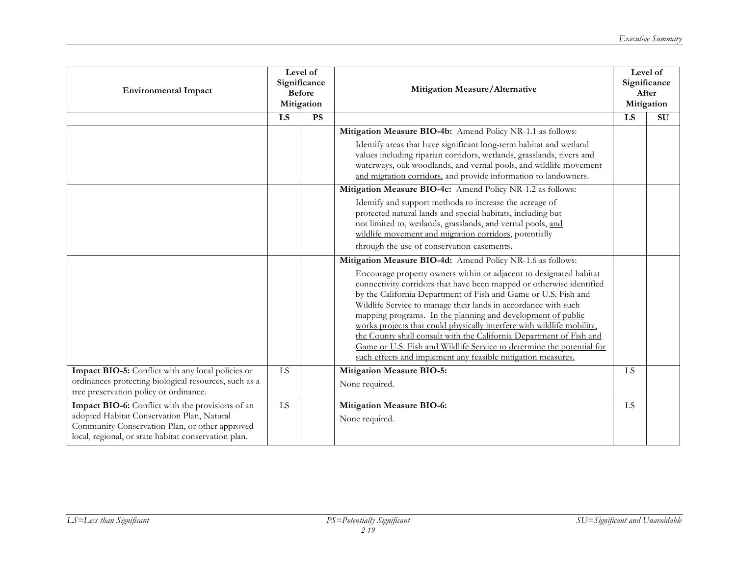| <b>Environmental Impact</b>                                                                                                                                                                              | Level of<br>Significance<br><b>Before</b><br>Mitigation |           | Mitigation Measure/Alternative                                                                                                                                                                                                                                                                                                                                                                                                                                                                                                                                                                                                                                                                        | Level of<br>Significance<br>After<br>Mitigation |    |
|----------------------------------------------------------------------------------------------------------------------------------------------------------------------------------------------------------|---------------------------------------------------------|-----------|-------------------------------------------------------------------------------------------------------------------------------------------------------------------------------------------------------------------------------------------------------------------------------------------------------------------------------------------------------------------------------------------------------------------------------------------------------------------------------------------------------------------------------------------------------------------------------------------------------------------------------------------------------------------------------------------------------|-------------------------------------------------|----|
|                                                                                                                                                                                                          | LS                                                      | <b>PS</b> |                                                                                                                                                                                                                                                                                                                                                                                                                                                                                                                                                                                                                                                                                                       | LS                                              | SU |
|                                                                                                                                                                                                          |                                                         |           | Mitigation Measure BIO-4b: Amend Policy NR-1.1 as follows:<br>Identify areas that have significant long-term habitat and wetland<br>values including riparian corridors, wetlands, grasslands, rivers and<br>waterways, oak woodlands, and vernal pools, and wildlife movement<br>and migration corridors, and provide information to landowners.                                                                                                                                                                                                                                                                                                                                                     |                                                 |    |
|                                                                                                                                                                                                          |                                                         |           | Mitigation Measure BIO-4c: Amend Policy NR-1.2 as follows:<br>Identify and support methods to increase the acreage of<br>protected natural lands and special habitats, including but<br>not limited to, wetlands, grasslands, and vernal pools, and<br>wildlife movement and migration corridors, potentially<br>through the use of conservation easements.                                                                                                                                                                                                                                                                                                                                           |                                                 |    |
|                                                                                                                                                                                                          |                                                         |           | Mitigation Measure BIO-4d: Amend Policy NR-1.6 as follows:<br>Encourage property owners within or adjacent to designated habitat<br>connectivity corridors that have been mapped or otherwise identified<br>by the California Department of Fish and Game or U.S. Fish and<br>Wildlife Service to manage their lands in accordance with such<br>mapping programs. In the planning and development of public<br>works projects that could physically interfere with wildlife mobility,<br>the County shall consult with the California Department of Fish and<br>Game or U.S. Fish and Wildlife Service to determine the potential for<br>such effects and implement any feasible mitigation measures. |                                                 |    |
| Impact BIO-5: Conflict with any local policies or<br>ordinances protecting biological resources, such as a<br>tree preservation policy or ordinance.                                                     | LS                                                      |           | <b>Mitigation Measure BIO-5:</b><br>None required.                                                                                                                                                                                                                                                                                                                                                                                                                                                                                                                                                                                                                                                    | LS                                              |    |
| Impact BIO-6: Conflict with the provisions of an<br>adopted Habitat Conservation Plan, Natural<br>Community Conservation Plan, or other approved<br>local, regional, or state habitat conservation plan. | LS                                                      |           | <b>Mitigation Measure BIO-6:</b><br>None required.                                                                                                                                                                                                                                                                                                                                                                                                                                                                                                                                                                                                                                                    | <b>LS</b>                                       |    |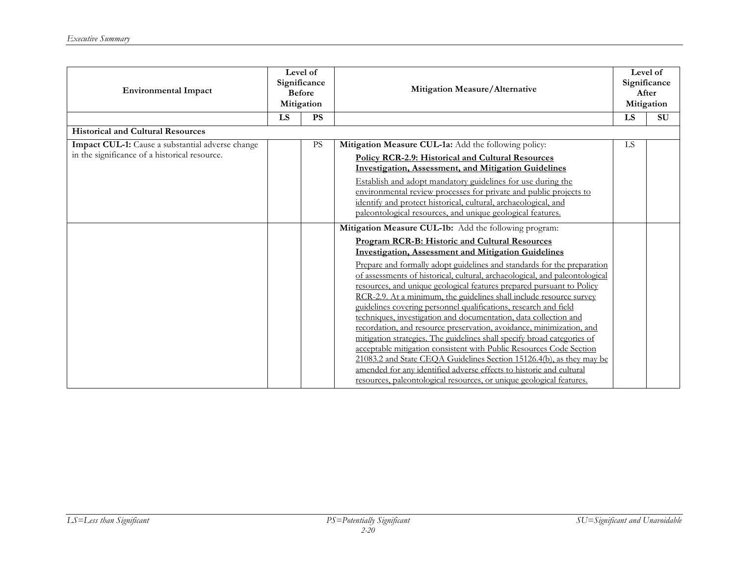| <b>Environmental Impact</b>                                                                       | Level of<br>Significance<br><b>Before</b><br>Mitigation |           |                                                                                                                                                                                                                                                                                                                                                                                                                                                                                                                                                                                                                                                                                                                                                                                                                                                                                                                                                                                                                                                                                 |            | Mitigation Measure/Alternative |  | Level of<br>Significance<br>After<br>Mitigation |
|---------------------------------------------------------------------------------------------------|---------------------------------------------------------|-----------|---------------------------------------------------------------------------------------------------------------------------------------------------------------------------------------------------------------------------------------------------------------------------------------------------------------------------------------------------------------------------------------------------------------------------------------------------------------------------------------------------------------------------------------------------------------------------------------------------------------------------------------------------------------------------------------------------------------------------------------------------------------------------------------------------------------------------------------------------------------------------------------------------------------------------------------------------------------------------------------------------------------------------------------------------------------------------------|------------|--------------------------------|--|-------------------------------------------------|
|                                                                                                   | LS                                                      | <b>PS</b> |                                                                                                                                                                                                                                                                                                                                                                                                                                                                                                                                                                                                                                                                                                                                                                                                                                                                                                                                                                                                                                                                                 | LS         | SU                             |  |                                                 |
| <b>Historical and Cultural Resources</b>                                                          |                                                         |           |                                                                                                                                                                                                                                                                                                                                                                                                                                                                                                                                                                                                                                                                                                                                                                                                                                                                                                                                                                                                                                                                                 |            |                                |  |                                                 |
| Impact CUL-1: Cause a substantial adverse change<br>in the significance of a historical resource. |                                                         | <b>PS</b> | Mitigation Measure CUL-1a: Add the following policy:<br><b>Policy RCR-2.9: Historical and Cultural Resources</b><br><b>Investigation, Assessment, and Mitigation Guidelines</b><br>Establish and adopt mandatory guidelines for use during the<br>environmental review processes for private and public projects to<br>identify and protect historical, cultural, archaeological, and<br>paleontological resources, and unique geological features.                                                                                                                                                                                                                                                                                                                                                                                                                                                                                                                                                                                                                             | ${\rm LS}$ |                                |  |                                                 |
|                                                                                                   |                                                         |           | Mitigation Measure CUL-1b: Add the following program:<br><b>Program RCR-B: Historic and Cultural Resources</b><br><b>Investigation, Assessment and Mitigation Guidelines</b><br>Prepare and formally adopt guidelines and standards for the preparation<br>of assessments of historical, cultural, archaeological, and paleontological<br>resources, and unique geological features prepared pursuant to Policy<br>RCR-2.9. At a minimum, the guidelines shall include resource survey<br>guidelines covering personnel qualifications, research and field<br>techniques, investigation and documentation, data collection and<br>recordation, and resource preservation, avoidance, minimization, and<br>mitigation strategies. The guidelines shall specify broad categories of<br>acceptable mitigation consistent with Public Resources Code Section<br>21083.2 and State CEQA Guidelines Section 15126.4(b), as they may be<br>amended for any identified adverse effects to historic and cultural<br>resources, paleontological resources, or unique geological features. |            |                                |  |                                                 |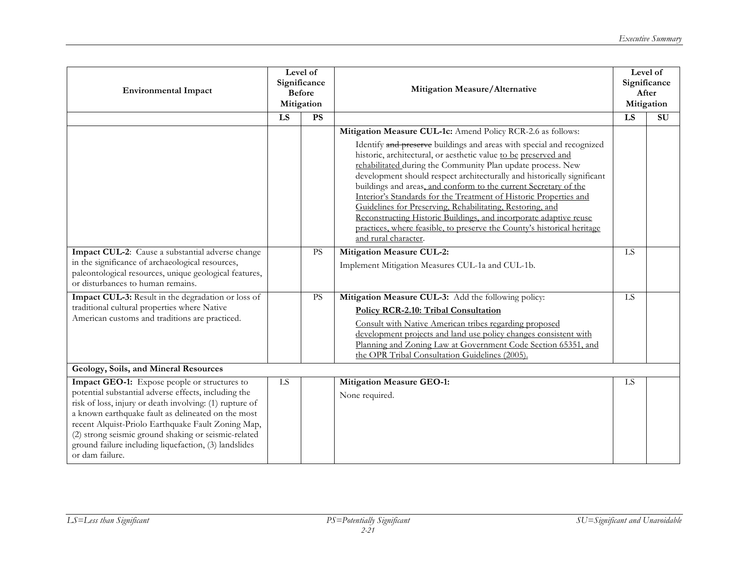| <b>Environmental Impact</b>                                                                                                                                                                                                                                                                                                                                                                                     | Level of<br>Significance<br><b>Before</b><br>Mitigation |           | Mitigation Measure/Alternative                                                                                                                                                                                                                                                                                                                                                                                                                                                                                                                                                                                                                                                                                                  |           | Level of<br>Significance<br>After<br>Mitigation |
|-----------------------------------------------------------------------------------------------------------------------------------------------------------------------------------------------------------------------------------------------------------------------------------------------------------------------------------------------------------------------------------------------------------------|---------------------------------------------------------|-----------|---------------------------------------------------------------------------------------------------------------------------------------------------------------------------------------------------------------------------------------------------------------------------------------------------------------------------------------------------------------------------------------------------------------------------------------------------------------------------------------------------------------------------------------------------------------------------------------------------------------------------------------------------------------------------------------------------------------------------------|-----------|-------------------------------------------------|
|                                                                                                                                                                                                                                                                                                                                                                                                                 | LS                                                      | PS        |                                                                                                                                                                                                                                                                                                                                                                                                                                                                                                                                                                                                                                                                                                                                 | LS        | $\overline{\rm SU}$                             |
|                                                                                                                                                                                                                                                                                                                                                                                                                 |                                                         |           | Mitigation Measure CUL-1c: Amend Policy RCR-2.6 as follows:<br>Identify and preserve buildings and areas with special and recognized<br>historic, architectural, or aesthetic value to be preserved and<br>rehabilitated during the Community Plan update process. New<br>development should respect architecturally and historically significant<br>buildings and areas, and conform to the current Secretary of the<br>Interior's Standards for the Treatment of Historic Properties and<br>Guidelines for Preserving, Rehabilitating, Restoring, and<br>Reconstructing Historic Buildings, and incorporate adaptive reuse<br>practices, where feasible, to preserve the County's historical heritage<br>and rural character. |           |                                                 |
| Impact CUL-2: Cause a substantial adverse change<br>in the significance of archaeological resources,<br>paleontological resources, unique geological features,<br>or disturbances to human remains.                                                                                                                                                                                                             |                                                         | <b>PS</b> | <b>Mitigation Measure CUL-2:</b><br>Implement Mitigation Measures CUL-1a and CUL-1b.                                                                                                                                                                                                                                                                                                                                                                                                                                                                                                                                                                                                                                            | LS        |                                                 |
| Impact CUL-3: Result in the degradation or loss of<br>traditional cultural properties where Native<br>American customs and traditions are practiced.                                                                                                                                                                                                                                                            |                                                         | PS        | Mitigation Measure CUL-3: Add the following policy:<br>Policy RCR-2.10: Tribal Consultation<br>Consult with Native American tribes regarding proposed<br>development projects and land use policy changes consistent with<br>Planning and Zoning Law at Government Code Section 65351, and<br>the OPR Tribal Consultation Guidelines (2005).                                                                                                                                                                                                                                                                                                                                                                                    | LS        |                                                 |
| Geology, Soils, and Mineral Resources                                                                                                                                                                                                                                                                                                                                                                           |                                                         |           |                                                                                                                                                                                                                                                                                                                                                                                                                                                                                                                                                                                                                                                                                                                                 |           |                                                 |
| Impact GEO-1: Expose people or structures to<br>potential substantial adverse effects, including the<br>risk of loss, injury or death involving: (1) rupture of<br>a known earthquake fault as delineated on the most<br>recent Alquist-Priolo Earthquake Fault Zoning Map,<br>(2) strong seismic ground shaking or seismic-related<br>ground failure including liquefaction, (3) landslides<br>or dam failure. | LS                                                      |           | <b>Mitigation Measure GEO-1:</b><br>None required.                                                                                                                                                                                                                                                                                                                                                                                                                                                                                                                                                                                                                                                                              | <b>LS</b> |                                                 |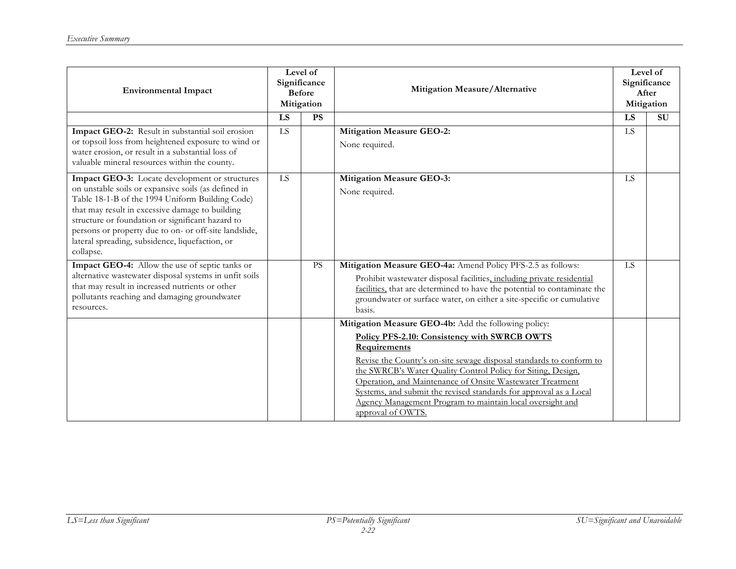| <b>Environmental Impact</b>                                                                                                                                                                                                                                                                                                                                                              | Level of<br>Significance<br><b>Before</b><br>Mitigation |           |                                                                                                                                                                                                                                                                                                                                                                                                                                                                                 |           | Mitigation Measure/Alternative |  | Level of<br>Significance<br>After<br>Mitigation |
|------------------------------------------------------------------------------------------------------------------------------------------------------------------------------------------------------------------------------------------------------------------------------------------------------------------------------------------------------------------------------------------|---------------------------------------------------------|-----------|---------------------------------------------------------------------------------------------------------------------------------------------------------------------------------------------------------------------------------------------------------------------------------------------------------------------------------------------------------------------------------------------------------------------------------------------------------------------------------|-----------|--------------------------------|--|-------------------------------------------------|
|                                                                                                                                                                                                                                                                                                                                                                                          | LS                                                      | <b>PS</b> |                                                                                                                                                                                                                                                                                                                                                                                                                                                                                 | LS        | <b>SU</b>                      |  |                                                 |
| Impact GEO-2: Result in substantial soil erosion<br>or topsoil loss from heightened exposure to wind or<br>water erosion, or result in a substantial loss of<br>valuable mineral resources within the county.                                                                                                                                                                            | <b>LS</b>                                               |           | <b>Mitigation Measure GEO-2:</b><br>None required.                                                                                                                                                                                                                                                                                                                                                                                                                              | LS        |                                |  |                                                 |
| Impact GEO-3: Locate development or structures<br>on unstable soils or expansive soils (as defined in<br>Table 18-1-B of the 1994 Uniform Building Code)<br>that may result in excessive damage to building<br>structure or foundation or significant hazard to<br>persons or property due to on- or off-site landslide,<br>lateral spreading, subsidence, liquefaction, or<br>collapse. | LS                                                      |           | <b>Mitigation Measure GEO-3:</b><br>None required.                                                                                                                                                                                                                                                                                                                                                                                                                              | <b>LS</b> |                                |  |                                                 |
| Impact GEO-4: Allow the use of septic tanks or<br>alternative wastewater disposal systems in unfit soils<br>that may result in increased nutrients or other<br>pollutants reaching and damaging groundwater<br>resources.                                                                                                                                                                |                                                         | <b>PS</b> | Mitigation Measure GEO-4a: Amend Policy PFS-2.5 as follows:<br>Prohibit wastewater disposal facilities, including private residential<br>facilities, that are determined to have the potential to contaminate the<br>groundwater or surface water, on either a site-specific or cumulative<br>basis.                                                                                                                                                                            | <b>LS</b> |                                |  |                                                 |
|                                                                                                                                                                                                                                                                                                                                                                                          |                                                         |           | Mitigation Measure GEO-4b: Add the following policy:<br>Policy PFS-2.10: Consistency with SWRCB OWTS<br>Requirements<br>Revise the County's on-site sewage disposal standards to conform to<br>the SWRCB's Water Quality Control Policy for Siting, Design,<br>Operation, and Maintenance of Onsite Wastewater Treatment<br>Systems, and submit the revised standards for approval as a Local<br>Agency Management Program to maintain local oversight and<br>approval of OWTS. |           |                                |  |                                                 |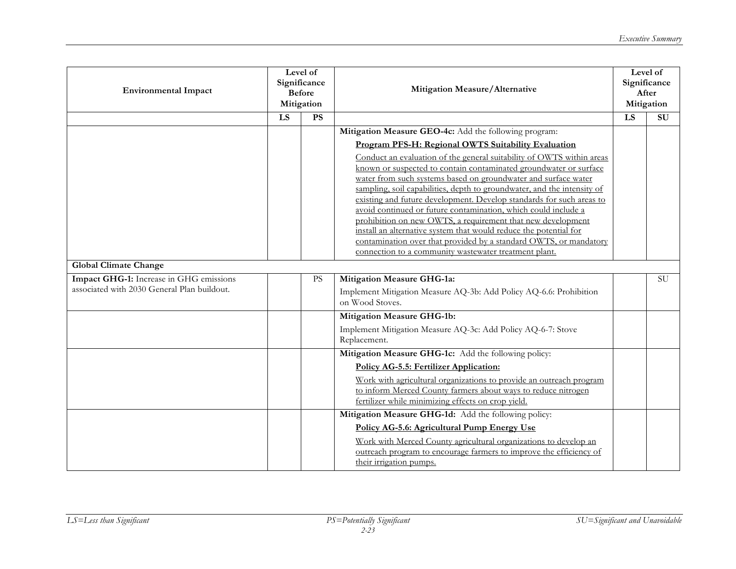| <b>Environmental Impact</b>                                                            | Level of<br>Significance<br><b>Before</b><br>Mitigation |           | Mitigation Measure/Alternative                                                                                                                                                                                                                                                                                                                                                                                                                                                                                                                                                                                                                                                                      |                 | Level of<br>Significance<br>After<br>Mitigation |
|----------------------------------------------------------------------------------------|---------------------------------------------------------|-----------|-----------------------------------------------------------------------------------------------------------------------------------------------------------------------------------------------------------------------------------------------------------------------------------------------------------------------------------------------------------------------------------------------------------------------------------------------------------------------------------------------------------------------------------------------------------------------------------------------------------------------------------------------------------------------------------------------------|-----------------|-------------------------------------------------|
|                                                                                        | $\overline{LS}$                                         | PS        |                                                                                                                                                                                                                                                                                                                                                                                                                                                                                                                                                                                                                                                                                                     | $\overline{LS}$ | $\overline{\mathrm{SU}}$                        |
|                                                                                        |                                                         |           | Mitigation Measure GEO-4c: Add the following program:                                                                                                                                                                                                                                                                                                                                                                                                                                                                                                                                                                                                                                               |                 |                                                 |
|                                                                                        |                                                         |           | Program PFS-H: Regional OWTS Suitability Evaluation                                                                                                                                                                                                                                                                                                                                                                                                                                                                                                                                                                                                                                                 |                 |                                                 |
|                                                                                        |                                                         |           | Conduct an evaluation of the general suitability of OWTS within areas<br>known or suspected to contain contaminated groundwater or surface<br>water from such systems based on groundwater and surface water<br>sampling, soil capabilities, depth to groundwater, and the intensity of<br>existing and future development. Develop standards for such areas to<br>avoid continued or future contamination, which could include a<br>prohibition on new OWTS, a requirement that new development<br>install an alternative system that would reduce the potential for<br>contamination over that provided by a standard OWTS, or mandatory<br>connection to a community wastewater treatment plant. |                 |                                                 |
| <b>Global Climate Change</b>                                                           |                                                         |           |                                                                                                                                                                                                                                                                                                                                                                                                                                                                                                                                                                                                                                                                                                     |                 |                                                 |
| Impact GHG-1: Increase in GHG emissions<br>associated with 2030 General Plan buildout. |                                                         | <b>PS</b> | <b>Mitigation Measure GHG-1a:</b>                                                                                                                                                                                                                                                                                                                                                                                                                                                                                                                                                                                                                                                                   |                 | <b>SU</b>                                       |
|                                                                                        |                                                         |           | Implement Mitigation Measure AQ-3b: Add Policy AQ-6.6: Prohibition<br>on Wood Stoves.                                                                                                                                                                                                                                                                                                                                                                                                                                                                                                                                                                                                               |                 |                                                 |
|                                                                                        |                                                         |           | <b>Mitigation Measure GHG-1b:</b>                                                                                                                                                                                                                                                                                                                                                                                                                                                                                                                                                                                                                                                                   |                 |                                                 |
|                                                                                        |                                                         |           | Implement Mitigation Measure AQ-3c: Add Policy AQ-6-7: Stove<br>Replacement.                                                                                                                                                                                                                                                                                                                                                                                                                                                                                                                                                                                                                        |                 |                                                 |
|                                                                                        |                                                         |           | Mitigation Measure GHG-1c: Add the following policy:                                                                                                                                                                                                                                                                                                                                                                                                                                                                                                                                                                                                                                                |                 |                                                 |
|                                                                                        |                                                         |           | <b>Policy AG-5.5: Fertilizer Application:</b>                                                                                                                                                                                                                                                                                                                                                                                                                                                                                                                                                                                                                                                       |                 |                                                 |
|                                                                                        |                                                         |           | Work with agricultural organizations to provide an outreach program<br>to inform Merced County farmers about ways to reduce nitrogen<br>fertilizer while minimizing effects on crop yield.                                                                                                                                                                                                                                                                                                                                                                                                                                                                                                          |                 |                                                 |
|                                                                                        |                                                         |           | Mitigation Measure GHG-1d: Add the following policy:                                                                                                                                                                                                                                                                                                                                                                                                                                                                                                                                                                                                                                                |                 |                                                 |
|                                                                                        |                                                         |           | Policy AG-5.6: Agricultural Pump Energy Use<br>Work with Merced County agricultural organizations to develop an<br>outreach program to encourage farmers to improve the efficiency of<br>their irrigation pumps.                                                                                                                                                                                                                                                                                                                                                                                                                                                                                    |                 |                                                 |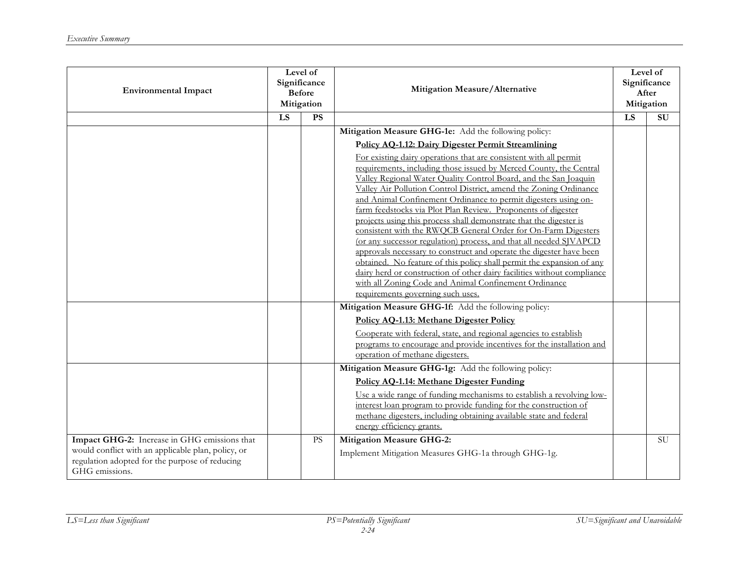| <b>Environmental Impact</b>                                                                                                                                            | Level of<br>Significance<br><b>Before</b><br>Mitigation |           | Mitigation Measure/Alternative                                                                                                                                                                                                                                                                                                                                                                                                                                                                                                                                                                                                                                                                                                                                                                                                                                                                                                                                                                                                                                         |    | Level of<br>Significance<br>After<br>Mitigation |
|------------------------------------------------------------------------------------------------------------------------------------------------------------------------|---------------------------------------------------------|-----------|------------------------------------------------------------------------------------------------------------------------------------------------------------------------------------------------------------------------------------------------------------------------------------------------------------------------------------------------------------------------------------------------------------------------------------------------------------------------------------------------------------------------------------------------------------------------------------------------------------------------------------------------------------------------------------------------------------------------------------------------------------------------------------------------------------------------------------------------------------------------------------------------------------------------------------------------------------------------------------------------------------------------------------------------------------------------|----|-------------------------------------------------|
|                                                                                                                                                                        | LS                                                      | PS        |                                                                                                                                                                                                                                                                                                                                                                                                                                                                                                                                                                                                                                                                                                                                                                                                                                                                                                                                                                                                                                                                        | LS | SU                                              |
|                                                                                                                                                                        |                                                         |           | Mitigation Measure GHG-1e: Add the following policy:<br>Policy AQ-1.12: Dairy Digester Permit Streamlining<br>For existing dairy operations that are consistent with all permit<br>requirements, including those issued by Merced County, the Central<br>Valley Regional Water Quality Control Board, and the San Joaquin<br>Valley Air Pollution Control District, amend the Zoning Ordinance<br>and Animal Confinement Ordinance to permit digesters using on-<br>farm feedstocks via Plot Plan Review. Proponents of digester<br>projects using this process shall demonstrate that the digester is<br>consistent with the RWQCB General Order for On-Farm Digesters<br>(or any successor regulation) process, and that all needed SJVAPCD<br>approvals necessary to construct and operate the digester have been<br>obtained. No feature of this policy shall permit the expansion of any<br>dairy herd or construction of other dairy facilities without compliance<br>with all Zoning Code and Animal Confinement Ordinance<br>requirements governing such uses. |    |                                                 |
|                                                                                                                                                                        |                                                         |           | Mitigation Measure GHG-1f: Add the following policy:                                                                                                                                                                                                                                                                                                                                                                                                                                                                                                                                                                                                                                                                                                                                                                                                                                                                                                                                                                                                                   |    |                                                 |
|                                                                                                                                                                        |                                                         |           | Policy AQ-1.13: Methane Digester Policy<br>Cooperate with federal, state, and regional agencies to establish<br>programs to encourage and provide incentives for the installation and<br>operation of methane digesters.                                                                                                                                                                                                                                                                                                                                                                                                                                                                                                                                                                                                                                                                                                                                                                                                                                               |    |                                                 |
|                                                                                                                                                                        |                                                         |           | Mitigation Measure GHG-1g: Add the following policy:<br>Policy AQ-1.14: Methane Digester Funding<br>Use a wide range of funding mechanisms to establish a revolving low-<br>interest loan program to provide funding for the construction of<br>methane digesters, including obtaining available state and federal<br>energy efficiency grants.                                                                                                                                                                                                                                                                                                                                                                                                                                                                                                                                                                                                                                                                                                                        |    |                                                 |
| Impact GHG-2: Increase in GHG emissions that<br>would conflict with an applicable plan, policy, or<br>regulation adopted for the purpose of reducing<br>GHG emissions. |                                                         | <b>PS</b> | <b>Mitigation Measure GHG-2:</b><br>Implement Mitigation Measures GHG-1a through GHG-1g.                                                                                                                                                                                                                                                                                                                                                                                                                                                                                                                                                                                                                                                                                                                                                                                                                                                                                                                                                                               |    | <b>SU</b>                                       |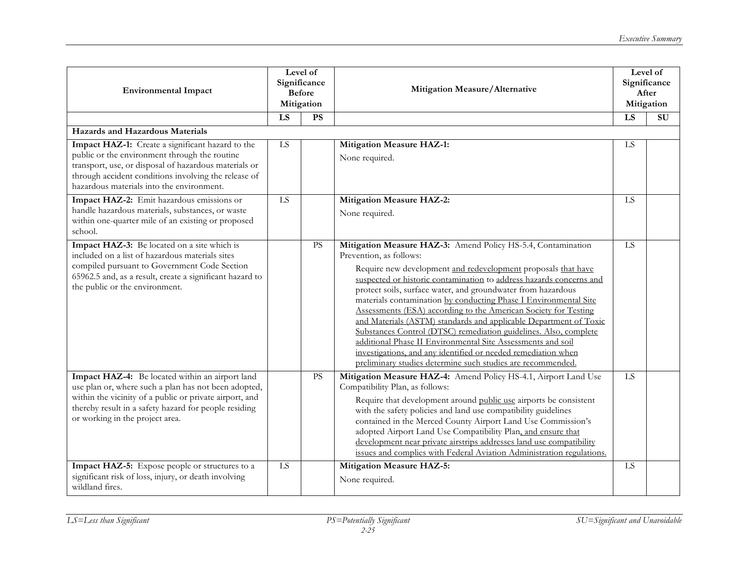| <b>Environmental Impact</b>                                                                                                                                                                                                                                     | Level of<br>Significance<br><b>Before</b><br>Mitigation |           | Mitigation Measure/Alternative                                                                                                                                                                                                                                                                                                                                                                                                                                                                                                                                                                                                                                                                                                                                                 |           | Level of<br>Significance<br>After<br>Mitigation |
|-----------------------------------------------------------------------------------------------------------------------------------------------------------------------------------------------------------------------------------------------------------------|---------------------------------------------------------|-----------|--------------------------------------------------------------------------------------------------------------------------------------------------------------------------------------------------------------------------------------------------------------------------------------------------------------------------------------------------------------------------------------------------------------------------------------------------------------------------------------------------------------------------------------------------------------------------------------------------------------------------------------------------------------------------------------------------------------------------------------------------------------------------------|-----------|-------------------------------------------------|
|                                                                                                                                                                                                                                                                 | LS                                                      | <b>PS</b> |                                                                                                                                                                                                                                                                                                                                                                                                                                                                                                                                                                                                                                                                                                                                                                                | LS        | <b>SU</b>                                       |
| Hazards and Hazardous Materials                                                                                                                                                                                                                                 |                                                         |           |                                                                                                                                                                                                                                                                                                                                                                                                                                                                                                                                                                                                                                                                                                                                                                                |           |                                                 |
| Impact HAZ-1: Create a significant hazard to the<br>public or the environment through the routine<br>transport, use, or disposal of hazardous materials or<br>through accident conditions involving the release of<br>hazardous materials into the environment. | LS                                                      |           | <b>Mitigation Measure HAZ-1:</b><br>None required.                                                                                                                                                                                                                                                                                                                                                                                                                                                                                                                                                                                                                                                                                                                             | LS        |                                                 |
| Impact HAZ-2: Emit hazardous emissions or<br>handle hazardous materials, substances, or waste<br>within one-quarter mile of an existing or proposed<br>school.                                                                                                  | LS                                                      |           | <b>Mitigation Measure HAZ-2:</b><br>None required.                                                                                                                                                                                                                                                                                                                                                                                                                                                                                                                                                                                                                                                                                                                             | LS        |                                                 |
| Impact HAZ-3: Be located on a site which is<br>included on a list of hazardous materials sites<br>compiled pursuant to Government Code Section<br>65962.5 and, as a result, create a significant hazard to<br>the public or the environment.                    |                                                         | PS        | Mitigation Measure HAZ-3: Amend Policy HS-5.4, Contamination<br>Prevention, as follows:<br>Require new development and redevelopment proposals that have<br>suspected or historic contamination to address hazards concerns and<br>protect soils, surface water, and groundwater from hazardous<br>materials contamination by conducting Phase I Environmental Site<br>Assessments (ESA) according to the American Society for Testing<br>and Materials (ASTM) standards and applicable Department of Toxic<br>Substances Control (DTSC) remediation guidelines. Also, complete<br>additional Phase II Environmental Site Assessments and soil<br>investigations, and any identified or needed remediation when<br>preliminary studies determine such studies are recommended. | <b>LS</b> |                                                 |
| Impact HAZ-4: Be located within an airport land<br>use plan or, where such a plan has not been adopted,<br>within the vicinity of a public or private airport, and<br>thereby result in a safety hazard for people residing<br>or working in the project area.  |                                                         | <b>PS</b> | Mitigation Measure HAZ-4: Amend Policy HS-4.1, Airport Land Use<br>Compatibility Plan, as follows:<br>Require that development around public use airports be consistent<br>with the safety policies and land use compatibility guidelines<br>contained in the Merced County Airport Land Use Commission's<br>adopted Airport Land Use Compatibility Plan, and ensure that<br>development near private airstrips addresses land use compatibility<br>issues and complies with Federal Aviation Administration regulations.                                                                                                                                                                                                                                                      | <b>LS</b> |                                                 |
| Impact HAZ-5: Expose people or structures to a<br>significant risk of loss, injury, or death involving<br>wildland fires.                                                                                                                                       | LS                                                      |           | <b>Mitigation Measure HAZ-5:</b><br>None required.                                                                                                                                                                                                                                                                                                                                                                                                                                                                                                                                                                                                                                                                                                                             | <b>LS</b> |                                                 |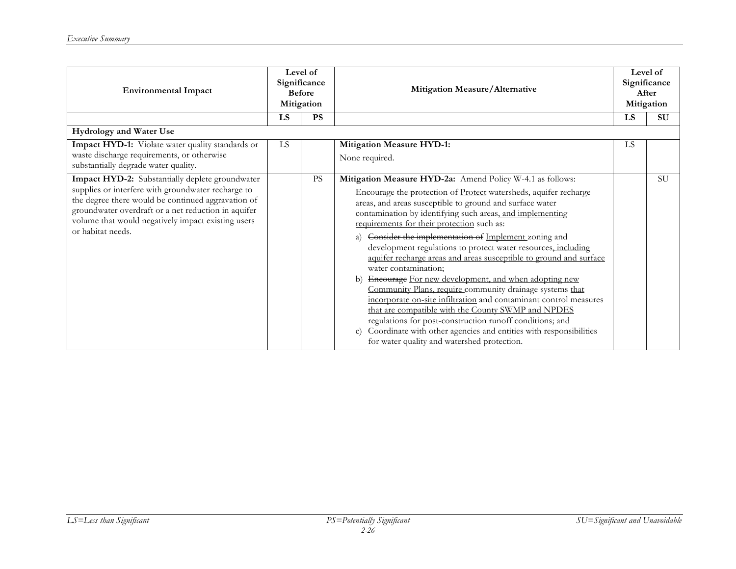| <b>Environmental Impact</b>                                                                                                                                                                                                                                                                   | Level of<br>Significance<br><b>Before</b><br>Mitigation |           |                                                                                                                                                                                                                                                                                                                                                                                                                                                                                                                                                                                                                                                                                                                                                                                                                                                                                                                                                                                         |     |           |  | Mitigation Measure/Alternative |  | Level of<br>Significance<br>After<br>Mitigation |
|-----------------------------------------------------------------------------------------------------------------------------------------------------------------------------------------------------------------------------------------------------------------------------------------------|---------------------------------------------------------|-----------|-----------------------------------------------------------------------------------------------------------------------------------------------------------------------------------------------------------------------------------------------------------------------------------------------------------------------------------------------------------------------------------------------------------------------------------------------------------------------------------------------------------------------------------------------------------------------------------------------------------------------------------------------------------------------------------------------------------------------------------------------------------------------------------------------------------------------------------------------------------------------------------------------------------------------------------------------------------------------------------------|-----|-----------|--|--------------------------------|--|-------------------------------------------------|
|                                                                                                                                                                                                                                                                                               | LS                                                      | <b>PS</b> |                                                                                                                                                                                                                                                                                                                                                                                                                                                                                                                                                                                                                                                                                                                                                                                                                                                                                                                                                                                         | LS  | <b>SU</b> |  |                                |  |                                                 |
| <b>Hydrology and Water Use</b>                                                                                                                                                                                                                                                                |                                                         |           |                                                                                                                                                                                                                                                                                                                                                                                                                                                                                                                                                                                                                                                                                                                                                                                                                                                                                                                                                                                         |     |           |  |                                |  |                                                 |
| Impact HYD-1: Violate water quality standards or<br>waste discharge requirements, or otherwise<br>substantially degrade water quality.                                                                                                                                                        | LS                                                      |           | <b>Mitigation Measure HYD-1:</b><br>None required.                                                                                                                                                                                                                                                                                                                                                                                                                                                                                                                                                                                                                                                                                                                                                                                                                                                                                                                                      | LS. |           |  |                                |  |                                                 |
| Impact HYD-2: Substantially deplete groundwater<br>supplies or interfere with groundwater recharge to<br>the degree there would be continued aggravation of<br>groundwater overdraft or a net reduction in aquifer<br>volume that would negatively impact existing users<br>or habitat needs. |                                                         | <b>PS</b> | Mitigation Measure HYD-2a: Amend Policy W-4.1 as follows:<br>Encourage the protection of Protect watersheds, aquifer recharge<br>areas, and areas susceptible to ground and surface water<br>contamination by identifying such areas, and implementing<br>requirements for their protection such as:<br>Consider the implementation of Implement zoning and<br>a)<br>development regulations to protect water resources, including<br>aquifer recharge areas and areas susceptible to ground and surface<br>water contamination;<br>Encourage For new development, and when adopting new<br>b)<br>Community Plans, require community drainage systems that<br>incorporate on-site infiltration and contaminant control measures<br>that are compatible with the County SWMP and NPDES<br>regulations for post-construction runoff conditions; and<br>Coordinate with other agencies and entities with responsibilities<br>$\mathbf{C}$ )<br>for water quality and watershed protection. |     | <b>SU</b> |  |                                |  |                                                 |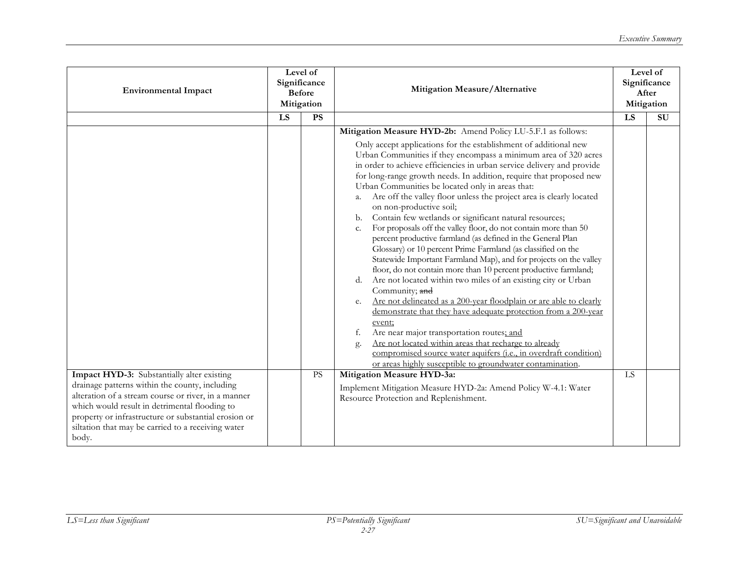| <b>Environmental Impact</b>                                                                                                                                                                                                                                                                                                 | Level of<br>Significance<br><b>Before</b><br>Mitigation |           | Mitigation Measure/Alternative                                                                                                                                                                                                                                                                                                                                                                                                                                                                                                                                                                                                                                                                                                                                                                                                                                                                                                                                                                                                                                                                                                                                                                                                                                                                                                                                                                                                       |    | Level of<br>Significance<br>After<br>Mitigation |
|-----------------------------------------------------------------------------------------------------------------------------------------------------------------------------------------------------------------------------------------------------------------------------------------------------------------------------|---------------------------------------------------------|-----------|--------------------------------------------------------------------------------------------------------------------------------------------------------------------------------------------------------------------------------------------------------------------------------------------------------------------------------------------------------------------------------------------------------------------------------------------------------------------------------------------------------------------------------------------------------------------------------------------------------------------------------------------------------------------------------------------------------------------------------------------------------------------------------------------------------------------------------------------------------------------------------------------------------------------------------------------------------------------------------------------------------------------------------------------------------------------------------------------------------------------------------------------------------------------------------------------------------------------------------------------------------------------------------------------------------------------------------------------------------------------------------------------------------------------------------------|----|-------------------------------------------------|
|                                                                                                                                                                                                                                                                                                                             | LS                                                      | <b>PS</b> |                                                                                                                                                                                                                                                                                                                                                                                                                                                                                                                                                                                                                                                                                                                                                                                                                                                                                                                                                                                                                                                                                                                                                                                                                                                                                                                                                                                                                                      | LS | <b>SU</b>                                       |
|                                                                                                                                                                                                                                                                                                                             |                                                         |           | Mitigation Measure HYD-2b: Amend Policy LU-5.F.1 as follows:<br>Only accept applications for the establishment of additional new<br>Urban Communities if they encompass a minimum area of 320 acres<br>in order to achieve efficiencies in urban service delivery and provide<br>for long-range growth needs. In addition, require that proposed new<br>Urban Communities be located only in areas that:<br>Are off the valley floor unless the project area is clearly located<br>а.<br>on non-productive soil;<br>Contain few wetlands or significant natural resources;<br>b.<br>For proposals off the valley floor, do not contain more than 50<br>c.<br>percent productive farmland (as defined in the General Plan<br>Glossary) or 10 percent Prime Farmland (as classified on the<br>Statewide Important Farmland Map), and for projects on the valley<br>floor, do not contain more than 10 percent productive farmland;<br>Are not located within two miles of an existing city or Urban<br>d.<br>Community; and<br>Are not delineated as a 200-year floodplain or are able to clearly<br>e.<br>demonstrate that they have adequate protection from a 200-year<br>event;<br>Are near major transportation routes; and<br>f.<br>Are not located within areas that recharge to already<br>g.<br>compromised source water aquifers (i.e., in overdraft condition)<br>or areas highly susceptible to groundwater contamination. |    |                                                 |
| Impact HYD-3: Substantially alter existing<br>drainage patterns within the county, including<br>alteration of a stream course or river, in a manner<br>which would result in detrimental flooding to<br>property or infrastructure or substantial erosion or<br>siltation that may be carried to a receiving water<br>body. |                                                         | <b>PS</b> | Mitigation Measure HYD-3a:<br>Implement Mitigation Measure HYD-2a: Amend Policy W-4.1: Water<br>Resource Protection and Replenishment.                                                                                                                                                                                                                                                                                                                                                                                                                                                                                                                                                                                                                                                                                                                                                                                                                                                                                                                                                                                                                                                                                                                                                                                                                                                                                               | LS |                                                 |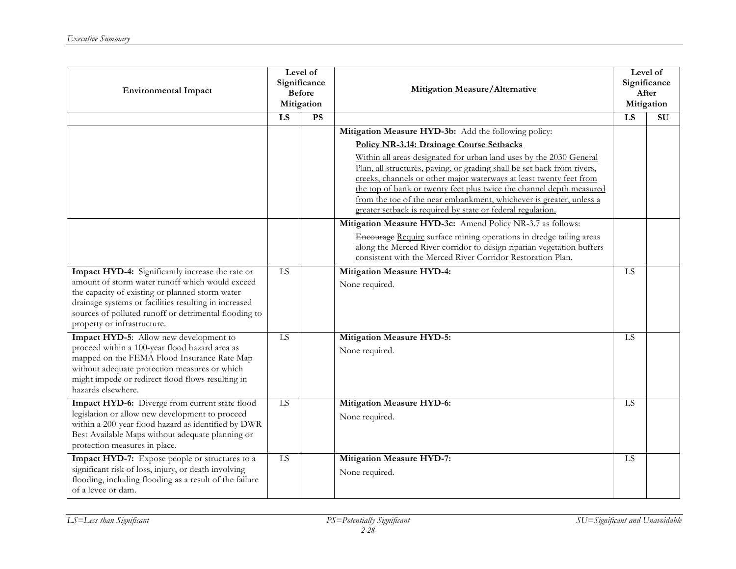| <b>Environmental Impact</b>                                                                                                                                                                                                                                                                             | Level of<br>Significance<br><b>Before</b><br>Mitigation |           | Mitigation Measure/Alternative                                                                                                                                                                                                                                                                                                                                                                                                                                                                                                          |    | Level of<br>Significance<br>After<br>Mitigation |
|---------------------------------------------------------------------------------------------------------------------------------------------------------------------------------------------------------------------------------------------------------------------------------------------------------|---------------------------------------------------------|-----------|-----------------------------------------------------------------------------------------------------------------------------------------------------------------------------------------------------------------------------------------------------------------------------------------------------------------------------------------------------------------------------------------------------------------------------------------------------------------------------------------------------------------------------------------|----|-------------------------------------------------|
|                                                                                                                                                                                                                                                                                                         | LS                                                      | <b>PS</b> |                                                                                                                                                                                                                                                                                                                                                                                                                                                                                                                                         | LS | SU                                              |
|                                                                                                                                                                                                                                                                                                         |                                                         |           | Mitigation Measure HYD-3b: Add the following policy:<br>Policy NR-3.14: Drainage Course Setbacks<br>Within all areas designated for urban land uses by the 2030 General<br>Plan, all structures, paving, or grading shall be set back from rivers,<br>creeks, channels or other major waterways at least twenty feet from<br>the top of bank or twenty feet plus twice the channel depth measured<br>from the toe of the near embankment, whichever is greater, unless a<br>greater setback is required by state or federal regulation. |    |                                                 |
|                                                                                                                                                                                                                                                                                                         |                                                         |           | Mitigation Measure HYD-3c: Amend Policy NR-3.7 as follows:<br>Encourage Require surface mining operations in dredge tailing areas<br>along the Merced River corridor to design riparian vegetation buffers<br>consistent with the Merced River Corridor Restoration Plan.                                                                                                                                                                                                                                                               |    |                                                 |
| Impact HYD-4: Significantly increase the rate or<br>amount of storm water runoff which would exceed<br>the capacity of existing or planned storm water<br>drainage systems or facilities resulting in increased<br>sources of polluted runoff or detrimental flooding to<br>property or infrastructure. | $\overline{LS}$                                         |           | <b>Mitigation Measure HYD-4:</b><br>None required.                                                                                                                                                                                                                                                                                                                                                                                                                                                                                      | LS |                                                 |
| Impact HYD-5: Allow new development to<br>proceed within a 100-year flood hazard area as<br>mapped on the FEMA Flood Insurance Rate Map<br>without adequate protection measures or which<br>might impede or redirect flood flows resulting in<br>hazards elsewhere.                                     | $\overline{LS}$                                         |           | <b>Mitigation Measure HYD-5:</b><br>None required.                                                                                                                                                                                                                                                                                                                                                                                                                                                                                      | LS |                                                 |
| Impact HYD-6: Diverge from current state flood<br>legislation or allow new development to proceed<br>within a 200-year flood hazard as identified by DWR<br>Best Available Maps without adequate planning or<br>protection measures in place.                                                           | ${\rm LS}$                                              |           | <b>Mitigation Measure HYD-6:</b><br>None required.                                                                                                                                                                                                                                                                                                                                                                                                                                                                                      | LS |                                                 |
| Impact HYD-7: Expose people or structures to a<br>significant risk of loss, injury, or death involving<br>flooding, including flooding as a result of the failure<br>of a levee or dam.                                                                                                                 | $\overline{LS}$                                         |           | <b>Mitigation Measure HYD-7:</b><br>None required.                                                                                                                                                                                                                                                                                                                                                                                                                                                                                      | LS |                                                 |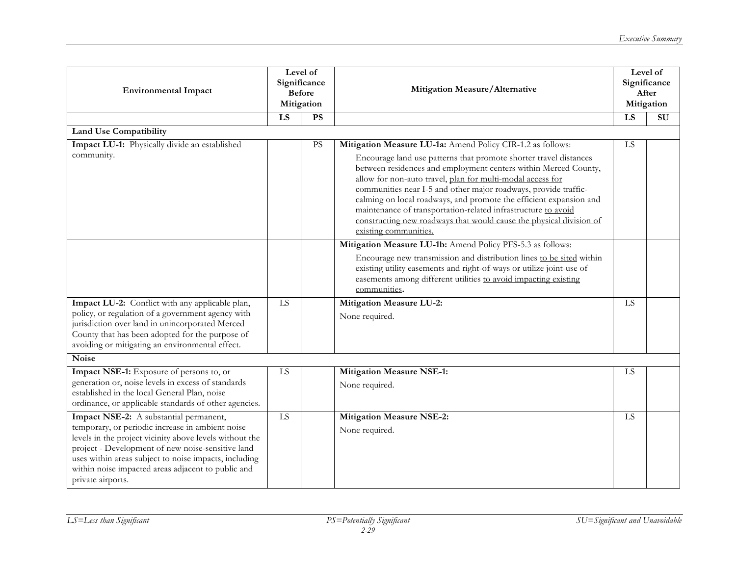| <b>Environmental Impact</b>                                                                                                                                                                                                                                                                                                                    | Level of<br>Significance<br><b>Before</b><br>Mitigation |           | Mitigation Measure/Alternative                                                                                                                                                                                                                                                                                                                                                                                                                                                                                                                                             |    | Level of<br>Significance<br>After<br>Mitigation |
|------------------------------------------------------------------------------------------------------------------------------------------------------------------------------------------------------------------------------------------------------------------------------------------------------------------------------------------------|---------------------------------------------------------|-----------|----------------------------------------------------------------------------------------------------------------------------------------------------------------------------------------------------------------------------------------------------------------------------------------------------------------------------------------------------------------------------------------------------------------------------------------------------------------------------------------------------------------------------------------------------------------------------|----|-------------------------------------------------|
|                                                                                                                                                                                                                                                                                                                                                | LS                                                      | PS        |                                                                                                                                                                                                                                                                                                                                                                                                                                                                                                                                                                            | LS | $\overline{\mathrm{SU}}$                        |
| <b>Land Use Compatibility</b>                                                                                                                                                                                                                                                                                                                  |                                                         |           |                                                                                                                                                                                                                                                                                                                                                                                                                                                                                                                                                                            |    |                                                 |
| Impact LU-1: Physically divide an established<br>community.                                                                                                                                                                                                                                                                                    |                                                         | <b>PS</b> | Mitigation Measure LU-1a: Amend Policy CIR-1.2 as follows:<br>Encourage land use patterns that promote shorter travel distances<br>between residences and employment centers within Merced County,<br>allow for non-auto travel, plan for multi-modal access for<br>communities near I-5 and other major roadways, provide traffic-<br>calming on local roadways, and promote the efficient expansion and<br>maintenance of transportation-related infrastructure to avoid<br>constructing new roadways that would cause the physical division of<br>existing communities. | LS |                                                 |
|                                                                                                                                                                                                                                                                                                                                                |                                                         |           | Mitigation Measure LU-1b: Amend Policy PFS-5.3 as follows:<br>Encourage new transmission and distribution lines to be sited within<br>existing utility easements and right-of-ways or utilize joint-use of<br>easements among different utilities to avoid impacting existing<br>communities.                                                                                                                                                                                                                                                                              |    |                                                 |
| Impact LU-2: Conflict with any applicable plan,<br>policy, or regulation of a government agency with<br>jurisdiction over land in unincorporated Merced<br>County that has been adopted for the purpose of<br>avoiding or mitigating an environmental effect.                                                                                  | LS                                                      |           | <b>Mitigation Measure LU-2:</b><br>None required.                                                                                                                                                                                                                                                                                                                                                                                                                                                                                                                          | LS |                                                 |
| <b>Noise</b>                                                                                                                                                                                                                                                                                                                                   |                                                         |           |                                                                                                                                                                                                                                                                                                                                                                                                                                                                                                                                                                            |    |                                                 |
| Impact NSE-1: Exposure of persons to, or<br>generation or, noise levels in excess of standards<br>established in the local General Plan, noise<br>ordinance, or applicable standards of other agencies.                                                                                                                                        | ${\rm LS}$                                              |           | <b>Mitigation Measure NSE-1:</b><br>None required.                                                                                                                                                                                                                                                                                                                                                                                                                                                                                                                         | LS |                                                 |
| Impact NSE-2: A substantial permanent,<br>temporary, or periodic increase in ambient noise<br>levels in the project vicinity above levels without the<br>project - Development of new noise-sensitive land<br>uses within areas subject to noise impacts, including<br>within noise impacted areas adjacent to public and<br>private airports. | LS                                                      |           | <b>Mitigation Measure NSE-2:</b><br>None required.                                                                                                                                                                                                                                                                                                                                                                                                                                                                                                                         | LS |                                                 |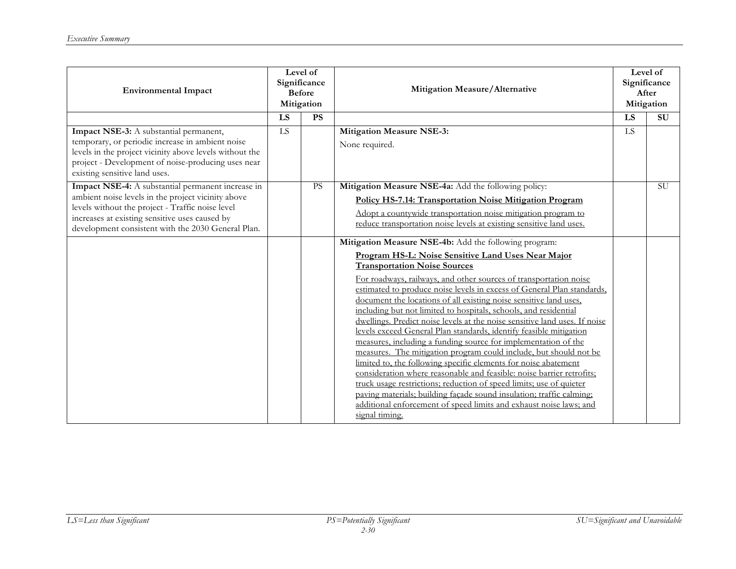| <b>Environmental Impact</b>                                                                                                                                                                                                                                         | Level of<br>Significance<br><b>Before</b><br>Mitigation |    | Mitigation Measure/Alternative                                                                                                                                                                                                                                                                                                                                                                                                                                                                                                                                                                                                                                                                                                                                                                                                                                                                                                                                                                                                                                                                                           |           | Level of<br>Significance<br>After<br>Mitigation |
|---------------------------------------------------------------------------------------------------------------------------------------------------------------------------------------------------------------------------------------------------------------------|---------------------------------------------------------|----|--------------------------------------------------------------------------------------------------------------------------------------------------------------------------------------------------------------------------------------------------------------------------------------------------------------------------------------------------------------------------------------------------------------------------------------------------------------------------------------------------------------------------------------------------------------------------------------------------------------------------------------------------------------------------------------------------------------------------------------------------------------------------------------------------------------------------------------------------------------------------------------------------------------------------------------------------------------------------------------------------------------------------------------------------------------------------------------------------------------------------|-----------|-------------------------------------------------|
|                                                                                                                                                                                                                                                                     | LS                                                      | PS |                                                                                                                                                                                                                                                                                                                                                                                                                                                                                                                                                                                                                                                                                                                                                                                                                                                                                                                                                                                                                                                                                                                          | LS        | <b>SU</b>                                       |
| Impact NSE-3: A substantial permanent,<br>temporary, or periodic increase in ambient noise<br>levels in the project vicinity above levels without the<br>project - Development of noise-producing uses near<br>existing sensitive land uses.                        | LS                                                      |    | <b>Mitigation Measure NSE-3:</b><br>None required.                                                                                                                                                                                                                                                                                                                                                                                                                                                                                                                                                                                                                                                                                                                                                                                                                                                                                                                                                                                                                                                                       | <b>LS</b> |                                                 |
| Impact NSE-4: A substantial permanent increase in<br>ambient noise levels in the project vicinity above<br>levels without the project - Traffic noise level<br>increases at existing sensitive uses caused by<br>development consistent with the 2030 General Plan. |                                                         | PS | Mitigation Measure NSE-4a: Add the following policy:<br>Policy HS-7.14: Transportation Noise Mitigation Program<br>Adopt a countywide transportation noise mitigation program to<br>reduce transportation noise levels at existing sensitive land uses.                                                                                                                                                                                                                                                                                                                                                                                                                                                                                                                                                                                                                                                                                                                                                                                                                                                                  |           | <b>SU</b>                                       |
|                                                                                                                                                                                                                                                                     |                                                         |    | Mitigation Measure NSE-4b: Add the following program:<br>Program HS-L: Noise Sensitive Land Uses Near Major<br><b>Transportation Noise Sources</b><br>For roadways, railways, and other sources of transportation noise<br>estimated to produce noise levels in excess of General Plan standards,<br>document the locations of all existing noise sensitive land uses,<br>including but not limited to hospitals, schools, and residential<br>dwellings. Predict noise levels at the noise sensitive land uses. If noise<br>levels exceed General Plan standards, identify feasible mitigation<br>measures, including a funding source for implementation of the<br>measures. The mitigation program could include, but should not be<br>limited to, the following specific elements for noise abatement<br>consideration where reasonable and feasible: noise barrier retrofits;<br>truck usage restrictions; reduction of speed limits; use of quieter<br>paving materials; building facade sound insulation; traffic calming;<br>additional enforcement of speed limits and exhaust noise laws; and<br>signal timing. |           |                                                 |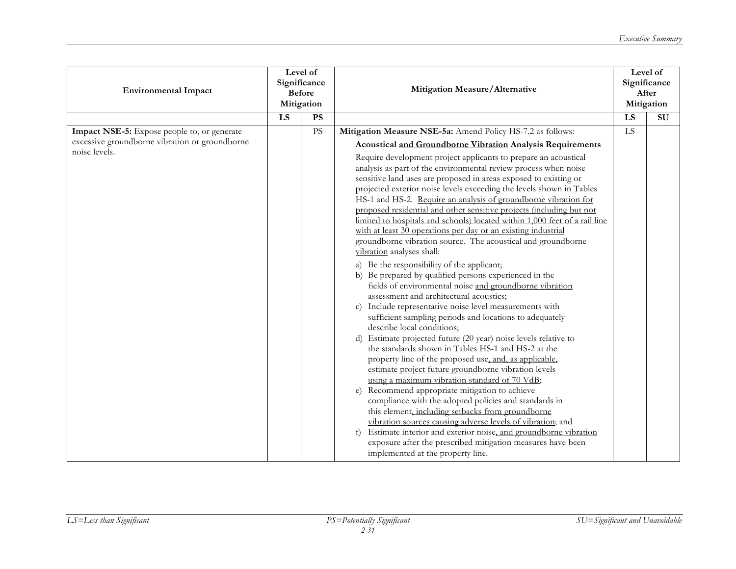| <b>Environmental Impact</b>                                                                                    | Level of<br>Significance<br><b>Before</b><br>Mitigation |           |                                                                                                                                                                                                                                                                                                                                                                                                                                                                                                                                                                                                                                                                                                                                                                                                                                                                                                                                                                                                                                                                                                                                                                                                                                                                                                                                                                                                                                                                                                                                                                                                                                                                                                                                                                                                                                                                                |    |    |  |  |  |  |  | Mitigation Measure/Alternative |  | Level of<br>Significance<br>After<br>Mitigation |
|----------------------------------------------------------------------------------------------------------------|---------------------------------------------------------|-----------|--------------------------------------------------------------------------------------------------------------------------------------------------------------------------------------------------------------------------------------------------------------------------------------------------------------------------------------------------------------------------------------------------------------------------------------------------------------------------------------------------------------------------------------------------------------------------------------------------------------------------------------------------------------------------------------------------------------------------------------------------------------------------------------------------------------------------------------------------------------------------------------------------------------------------------------------------------------------------------------------------------------------------------------------------------------------------------------------------------------------------------------------------------------------------------------------------------------------------------------------------------------------------------------------------------------------------------------------------------------------------------------------------------------------------------------------------------------------------------------------------------------------------------------------------------------------------------------------------------------------------------------------------------------------------------------------------------------------------------------------------------------------------------------------------------------------------------------------------------------------------------|----|----|--|--|--|--|--|--------------------------------|--|-------------------------------------------------|
|                                                                                                                | LS                                                      | <b>PS</b> |                                                                                                                                                                                                                                                                                                                                                                                                                                                                                                                                                                                                                                                                                                                                                                                                                                                                                                                                                                                                                                                                                                                                                                                                                                                                                                                                                                                                                                                                                                                                                                                                                                                                                                                                                                                                                                                                                | LS | SU |  |  |  |  |  |                                |  |                                                 |
| Impact NSE-5: Expose people to, or generate<br>excessive groundborne vibration or groundborne<br>noise levels. |                                                         | <b>PS</b> | Mitigation Measure NSE-5a: Amend Policy HS-7.2 as follows:<br>Acoustical and Groundborne Vibration Analysis Requirements<br>Require development project applicants to prepare an acoustical<br>analysis as part of the environmental review process when noise-<br>sensitive land uses are proposed in areas exposed to existing or<br>projected exterior noise levels exceeding the levels shown in Tables<br>HS-1 and HS-2. Require an analysis of groundborne vibration for<br>proposed residential and other sensitive projects (including but not<br>limited to hospitals and schools) located within 1,000 feet of a rail line<br>with at least 30 operations per day or an existing industrial<br>groundborne vibration source. The acoustical and groundborne<br>vibration analyses shall:<br>a) Be the responsibility of the applicant;<br>b) Be prepared by qualified persons experienced in the<br>fields of environmental noise and groundborne vibration<br>assessment and architectural acoustics;<br>c) Include representative noise level measurements with<br>sufficient sampling periods and locations to adequately<br>describe local conditions;<br>d) Estimate projected future (20 year) noise levels relative to<br>the standards shown in Tables HS-1 and HS-2 at the<br>property line of the proposed use, and, as applicable,<br>estimate project future groundborne vibration levels<br>using a maximum vibration standard of 70 VdB;<br>Recommend appropriate mitigation to achieve<br>e)<br>compliance with the adopted policies and standards in<br>this element, including setbacks from groundborne<br>vibration sources causing adverse levels of vibration; and<br>Estimate interior and exterior noise, and groundborne vibration<br>f)<br>exposure after the prescribed mitigation measures have been<br>implemented at the property line. | LS |    |  |  |  |  |  |                                |  |                                                 |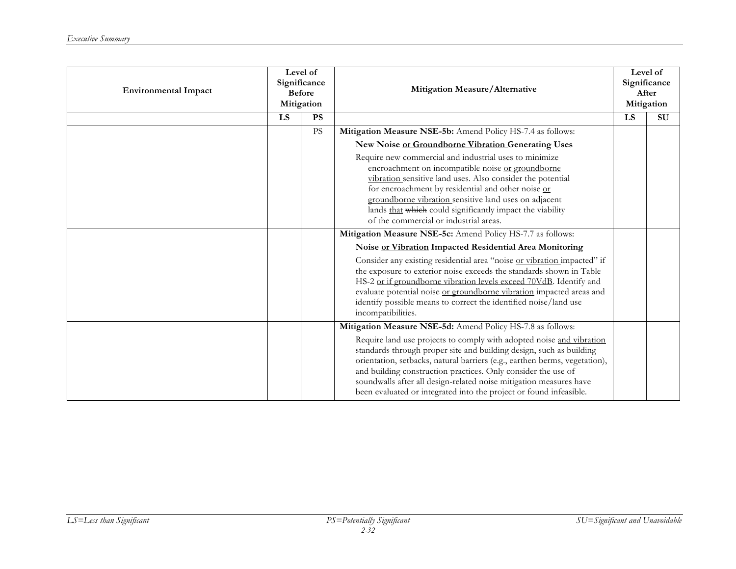| <b>Environmental Impact</b> | Level of<br>Significance<br><b>Before</b><br>Mitigation |                        | Mitigation Measure/Alternative                                                                                                                                                                                                                                                                                                                                                                                                         |    | Level of<br>Significance<br>After<br>Mitigation |
|-----------------------------|---------------------------------------------------------|------------------------|----------------------------------------------------------------------------------------------------------------------------------------------------------------------------------------------------------------------------------------------------------------------------------------------------------------------------------------------------------------------------------------------------------------------------------------|----|-------------------------------------------------|
|                             | LS                                                      | <b>PS</b>              |                                                                                                                                                                                                                                                                                                                                                                                                                                        | LS | SU                                              |
|                             |                                                         | $\mathbf{P}\mathbf{S}$ | Mitigation Measure NSE-5b: Amend Policy HS-7.4 as follows:                                                                                                                                                                                                                                                                                                                                                                             |    |                                                 |
|                             |                                                         |                        | New Noise or Groundborne Vibration Generating Uses                                                                                                                                                                                                                                                                                                                                                                                     |    |                                                 |
|                             |                                                         |                        | Require new commercial and industrial uses to minimize                                                                                                                                                                                                                                                                                                                                                                                 |    |                                                 |
|                             |                                                         |                        | encroachment on incompatible noise or groundborne                                                                                                                                                                                                                                                                                                                                                                                      |    |                                                 |
|                             |                                                         |                        | vibration sensitive land uses. Also consider the potential<br>for encroachment by residential and other noise or                                                                                                                                                                                                                                                                                                                       |    |                                                 |
|                             |                                                         |                        | groundborne vibration sensitive land uses on adjacent                                                                                                                                                                                                                                                                                                                                                                                  |    |                                                 |
|                             |                                                         |                        | lands that which could significantly impact the viability                                                                                                                                                                                                                                                                                                                                                                              |    |                                                 |
|                             |                                                         |                        | of the commercial or industrial areas.                                                                                                                                                                                                                                                                                                                                                                                                 |    |                                                 |
|                             |                                                         |                        | Mitigation Measure NSE-5c: Amend Policy HS-7.7 as follows:                                                                                                                                                                                                                                                                                                                                                                             |    |                                                 |
|                             |                                                         |                        | Noise or Vibration Impacted Residential Area Monitoring                                                                                                                                                                                                                                                                                                                                                                                |    |                                                 |
|                             |                                                         |                        | Consider any existing residential area "noise or vibration impacted" if<br>the exposure to exterior noise exceeds the standards shown in Table<br>HS-2 or if groundborne vibration levels exceed 70VdB. Identify and<br>evaluate potential noise or groundborne vibration impacted areas and<br>identify possible means to correct the identified noise/land use<br>incompatibilities.                                                 |    |                                                 |
|                             |                                                         |                        | Mitigation Measure NSE-5d: Amend Policy HS-7.8 as follows:                                                                                                                                                                                                                                                                                                                                                                             |    |                                                 |
|                             |                                                         |                        | Require land use projects to comply with adopted noise and vibration<br>standards through proper site and building design, such as building<br>orientation, setbacks, natural barriers (e.g., earthen berms, vegetation),<br>and building construction practices. Only consider the use of<br>soundwalls after all design-related noise mitigation measures have<br>been evaluated or integrated into the project or found infeasible. |    |                                                 |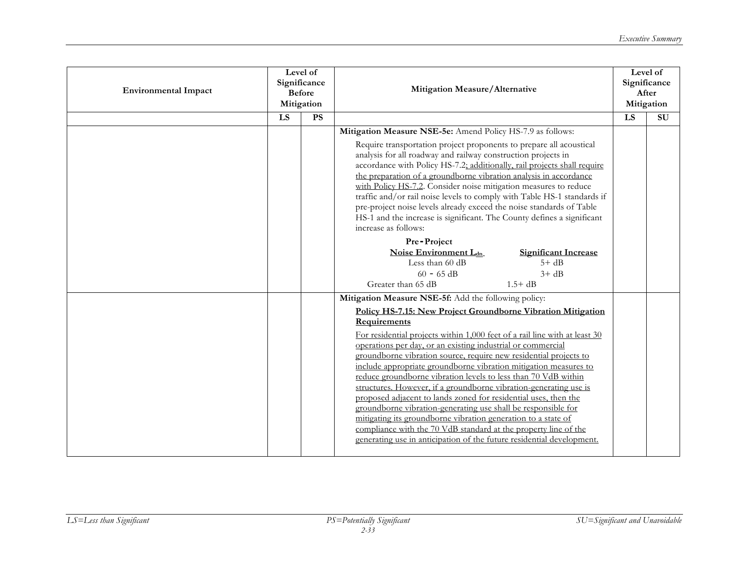| <b>Environmental Impact</b> | Level of<br>Significance<br><b>Before</b><br>Mitigation |           | Mitigation Measure/Alternative                                                                                                                                                                                                                                                                                                                                                                                                                                                                                                                                                                                                                                                                                                                                                                                                                                                                                     |    | Level of<br>Significance<br>After<br>Mitigation |
|-----------------------------|---------------------------------------------------------|-----------|--------------------------------------------------------------------------------------------------------------------------------------------------------------------------------------------------------------------------------------------------------------------------------------------------------------------------------------------------------------------------------------------------------------------------------------------------------------------------------------------------------------------------------------------------------------------------------------------------------------------------------------------------------------------------------------------------------------------------------------------------------------------------------------------------------------------------------------------------------------------------------------------------------------------|----|-------------------------------------------------|
|                             | LS                                                      | <b>PS</b> |                                                                                                                                                                                                                                                                                                                                                                                                                                                                                                                                                                                                                                                                                                                                                                                                                                                                                                                    | LS | SU                                              |
|                             |                                                         |           | Mitigation Measure NSE-5e: Amend Policy HS-7.9 as follows:<br>Require transportation project proponents to prepare all acoustical<br>analysis for all roadway and railway construction projects in<br>accordance with Policy HS-7.2; additionally, rail projects shall require<br>the preparation of a groundborne vibration analysis in accordance<br>with Policy HS-7.2. Consider noise mitigation measures to reduce<br>traffic and/or rail noise levels to comply with Table HS-1 standards if<br>pre-project noise levels already exceed the noise standards of Table<br>HS-1 and the increase is significant. The County defines a significant<br>increase as follows:<br>Pre-Project<br>Noise Environment L <sub>dn</sub><br><b>Significant Increase</b><br>Less than 60 dB<br>$5+dB$<br>$60 - 65$ dB<br>$3 + dB$                                                                                           |    |                                                 |
|                             |                                                         |           | Greater than 65 dB<br>$1.5 + dB$                                                                                                                                                                                                                                                                                                                                                                                                                                                                                                                                                                                                                                                                                                                                                                                                                                                                                   |    |                                                 |
|                             |                                                         |           | Mitigation Measure NSE-5f: Add the following policy:<br>Policy HS-7.15: New Project Groundborne Vibration Mitigation<br>Requirements<br>For residential projects within 1,000 feet of a rail line with at least 30<br>operations per day, or an existing industrial or commercial<br>groundborne vibration source, require new residential projects to<br>include appropriate groundborne vibration mitigation measures to<br>reduce groundborne vibration levels to less than 70 VdB within<br>structures. However, if a groundborne vibration-generating use is<br>proposed adjacent to lands zoned for residential uses, then the<br>groundborne vibration-generating use shall be responsible for<br>mitigating its groundborne vibration generation to a state of<br>compliance with the 70 VdB standard at the property line of the<br>generating use in anticipation of the future residential development. |    |                                                 |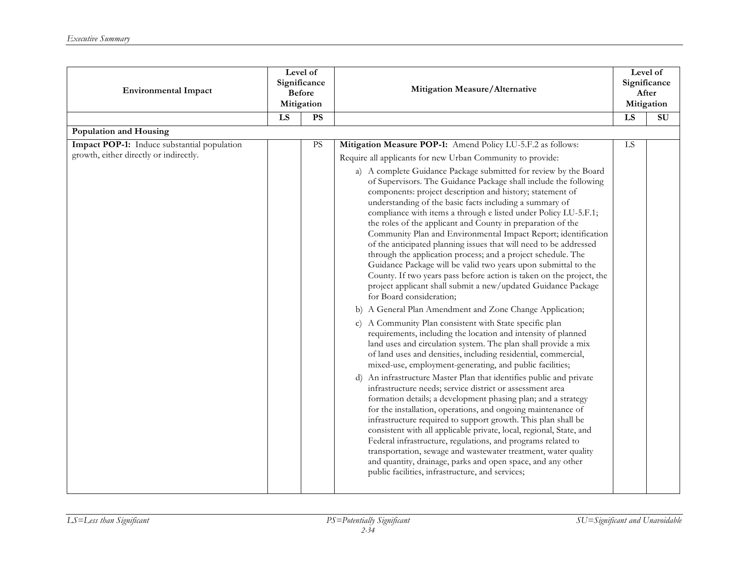| <b>Environmental Impact</b>                                                           | Level of<br>Significance<br><b>Before</b><br>Mitigation |                 | Mitigation Measure/Alternative                                                                                                                                                                                                                                                                                                                                                                                                                                                                                                                                                                                                                                                                                                                                                                                                                                                                                                                                                                                                                                                                                                                                                                                                                                                                                                                                                                                                                                                                                                                                                                                                                                                                                                                                                                                                                                                                                                                                                                                                                           |    | Level of<br>Significance<br>After<br>Mitigation |
|---------------------------------------------------------------------------------------|---------------------------------------------------------|-----------------|----------------------------------------------------------------------------------------------------------------------------------------------------------------------------------------------------------------------------------------------------------------------------------------------------------------------------------------------------------------------------------------------------------------------------------------------------------------------------------------------------------------------------------------------------------------------------------------------------------------------------------------------------------------------------------------------------------------------------------------------------------------------------------------------------------------------------------------------------------------------------------------------------------------------------------------------------------------------------------------------------------------------------------------------------------------------------------------------------------------------------------------------------------------------------------------------------------------------------------------------------------------------------------------------------------------------------------------------------------------------------------------------------------------------------------------------------------------------------------------------------------------------------------------------------------------------------------------------------------------------------------------------------------------------------------------------------------------------------------------------------------------------------------------------------------------------------------------------------------------------------------------------------------------------------------------------------------------------------------------------------------------------------------------------------------|----|-------------------------------------------------|
|                                                                                       | LS                                                      | $\overline{PS}$ |                                                                                                                                                                                                                                                                                                                                                                                                                                                                                                                                                                                                                                                                                                                                                                                                                                                                                                                                                                                                                                                                                                                                                                                                                                                                                                                                                                                                                                                                                                                                                                                                                                                                                                                                                                                                                                                                                                                                                                                                                                                          | LS | $\overline{\mathrm{SU}}$                        |
| Population and Housing                                                                |                                                         |                 |                                                                                                                                                                                                                                                                                                                                                                                                                                                                                                                                                                                                                                                                                                                                                                                                                                                                                                                                                                                                                                                                                                                                                                                                                                                                                                                                                                                                                                                                                                                                                                                                                                                                                                                                                                                                                                                                                                                                                                                                                                                          |    |                                                 |
| Impact POP-1: Induce substantial population<br>growth, either directly or indirectly. |                                                         | <b>PS</b>       | Mitigation Measure POP-1: Amend Policy LU-5.F.2 as follows:<br>Require all applicants for new Urban Community to provide:<br>a) A complete Guidance Package submitted for review by the Board<br>of Supervisors. The Guidance Package shall include the following<br>components: project description and history; statement of<br>understanding of the basic facts including a summary of<br>compliance with items a through e listed under Policy LU-5.F.1;<br>the roles of the applicant and County in preparation of the<br>Community Plan and Environmental Impact Report; identification<br>of the anticipated planning issues that will need to be addressed<br>through the application process; and a project schedule. The<br>Guidance Package will be valid two years upon submittal to the<br>County. If two years pass before action is taken on the project, the<br>project applicant shall submit a new/updated Guidance Package<br>for Board consideration;<br>A General Plan Amendment and Zone Change Application;<br>b)<br>A Community Plan consistent with State specific plan<br>$\mathbf{C}$ )<br>requirements, including the location and intensity of planned<br>land uses and circulation system. The plan shall provide a mix<br>of land uses and densities, including residential, commercial,<br>mixed-use, employment-generating, and public facilities;<br>An infrastructure Master Plan that identifies public and private<br>d)<br>infrastructure needs; service district or assessment area<br>formation details; a development phasing plan; and a strategy<br>for the installation, operations, and ongoing maintenance of<br>infrastructure required to support growth. This plan shall be<br>consistent with all applicable private, local, regional, State, and<br>Federal infrastructure, regulations, and programs related to<br>transportation, sewage and wastewater treatment, water quality<br>and quantity, drainage, parks and open space, and any other<br>public facilities, infrastructure, and services; | LS |                                                 |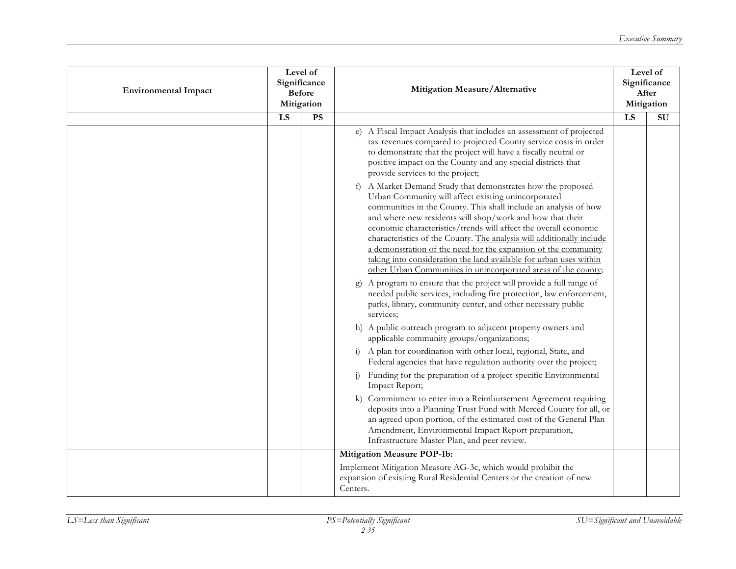| <b>Environmental Impact</b> | Level of<br>Significance<br><b>Before</b><br>Mitigation |           | Mitigation Measure/Alternative                                                                                                                                                                                                                                                                                                                                                                                                                                                                                                              |    | Level of<br>Significance<br>After<br>Mitigation |
|-----------------------------|---------------------------------------------------------|-----------|---------------------------------------------------------------------------------------------------------------------------------------------------------------------------------------------------------------------------------------------------------------------------------------------------------------------------------------------------------------------------------------------------------------------------------------------------------------------------------------------------------------------------------------------|----|-------------------------------------------------|
|                             | LS                                                      | <b>PS</b> |                                                                                                                                                                                                                                                                                                                                                                                                                                                                                                                                             | LS | SU                                              |
|                             |                                                         |           | e) A Fiscal Impact Analysis that includes an assessment of projected<br>tax revenues compared to projected County service costs in order<br>to demonstrate that the project will have a fiscally neutral or<br>positive impact on the County and any special districts that<br>provide services to the project;<br>A Market Demand Study that demonstrates how the proposed<br>f)                                                                                                                                                           |    |                                                 |
|                             |                                                         |           | Urban Community will affect existing unincorporated<br>communities in the County. This shall include an analysis of how<br>and where new residents will shop/work and how that their<br>economic characteristics/trends will affect the overall economic<br>characteristics of the County. The analysis will additionally include<br>a demonstration of the need for the expansion of the community<br>taking into consideration the land available for urban uses within<br>other Urban Communities in unincorporated areas of the county; |    |                                                 |
|                             |                                                         |           | A program to ensure that the project will provide a full range of<br>$\mathbf{g}$<br>needed public services, including fire protection, law enforcement,<br>parks, library, community center, and other necessary public<br>services:                                                                                                                                                                                                                                                                                                       |    |                                                 |
|                             |                                                         |           | h) A public outreach program to adjacent property owners and<br>applicable community groups/organizations;                                                                                                                                                                                                                                                                                                                                                                                                                                  |    |                                                 |
|                             |                                                         |           | i) A plan for coordination with other local, regional, State, and<br>Federal agencies that have regulation authority over the project;                                                                                                                                                                                                                                                                                                                                                                                                      |    |                                                 |
|                             |                                                         |           | Funding for the preparation of a project-specific Environmental<br>Impact Report;                                                                                                                                                                                                                                                                                                                                                                                                                                                           |    |                                                 |
|                             |                                                         |           | Commitment to enter into a Reimbursement Agreement requiring<br>$\bf k$<br>deposits into a Planning Trust Fund with Merced County for all, or<br>an agreed upon portion, of the estimated cost of the General Plan<br>Amendment, Environmental Impact Report preparation,<br>Infrastructure Master Plan, and peer review.                                                                                                                                                                                                                   |    |                                                 |
|                             |                                                         |           | <b>Mitigation Measure POP-1b:</b>                                                                                                                                                                                                                                                                                                                                                                                                                                                                                                           |    |                                                 |
|                             |                                                         |           | Implement Mitigation Measure AG-3c, which would prohibit the<br>expansion of existing Rural Residential Centers or the creation of new<br>Centers.                                                                                                                                                                                                                                                                                                                                                                                          |    |                                                 |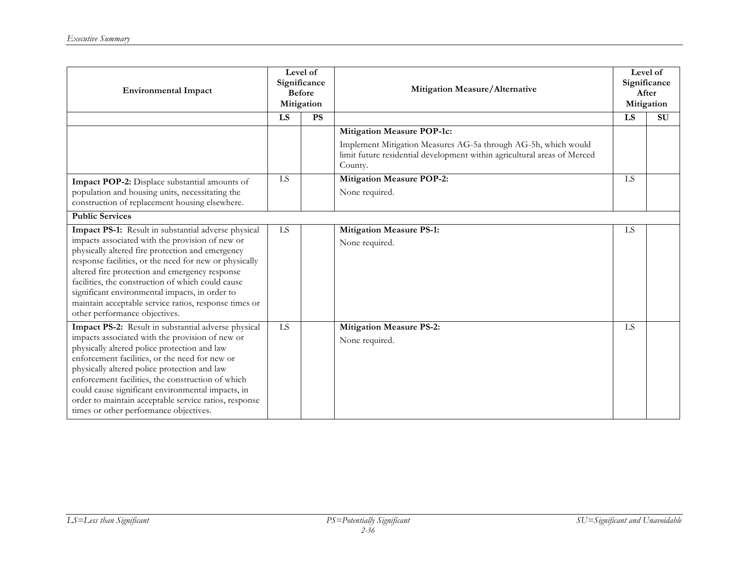| <b>Environmental Impact</b>                                                                                                                                                                                                                                                                                                                                                                                                                                             | Level of<br>Significance<br><b>Before</b><br>Mitigation |           | Mitigation Measure/Alternative                                                                                                                                                             |    | Level of<br>Significance<br>After<br>Mitigation |
|-------------------------------------------------------------------------------------------------------------------------------------------------------------------------------------------------------------------------------------------------------------------------------------------------------------------------------------------------------------------------------------------------------------------------------------------------------------------------|---------------------------------------------------------|-----------|--------------------------------------------------------------------------------------------------------------------------------------------------------------------------------------------|----|-------------------------------------------------|
|                                                                                                                                                                                                                                                                                                                                                                                                                                                                         | LS                                                      | <b>PS</b> |                                                                                                                                                                                            | LS | <b>SU</b>                                       |
|                                                                                                                                                                                                                                                                                                                                                                                                                                                                         |                                                         |           | <b>Mitigation Measure POP-1c:</b><br>Implement Mitigation Measures AG-5a through AG-5h, which would<br>limit future residential development within agricultural areas of Merced<br>County. |    |                                                 |
| Impact POP-2: Displace substantial amounts of<br>population and housing units, necessitating the<br>construction of replacement housing elsewhere.                                                                                                                                                                                                                                                                                                                      | LS                                                      |           | Mitigation Measure POP-2:<br>None required.                                                                                                                                                | LS |                                                 |
| <b>Public Services</b>                                                                                                                                                                                                                                                                                                                                                                                                                                                  |                                                         |           |                                                                                                                                                                                            |    |                                                 |
| Impact PS-1: Result in substantial adverse physical<br>impacts associated with the provision of new or<br>physically altered fire protection and emergency<br>response facilities, or the need for new or physically<br>altered fire protection and emergency response<br>facilities, the construction of which could cause<br>significant environmental impacts, in order to<br>maintain acceptable service ratios, response times or<br>other performance objectives. | LS                                                      |           | <b>Mitigation Measure PS-1:</b><br>None required.                                                                                                                                          | LS |                                                 |
| Impact PS-2: Result in substantial adverse physical<br>impacts associated with the provision of new or<br>physically altered police protection and law<br>enforcement facilities, or the need for new or<br>physically altered police protection and law<br>enforcement facilities, the construction of which<br>could cause significant environmental impacts, in<br>order to maintain acceptable service ratios, response<br>times or other performance objectives.   | LS                                                      |           | <b>Mitigation Measure PS-2:</b><br>None required.                                                                                                                                          | LS |                                                 |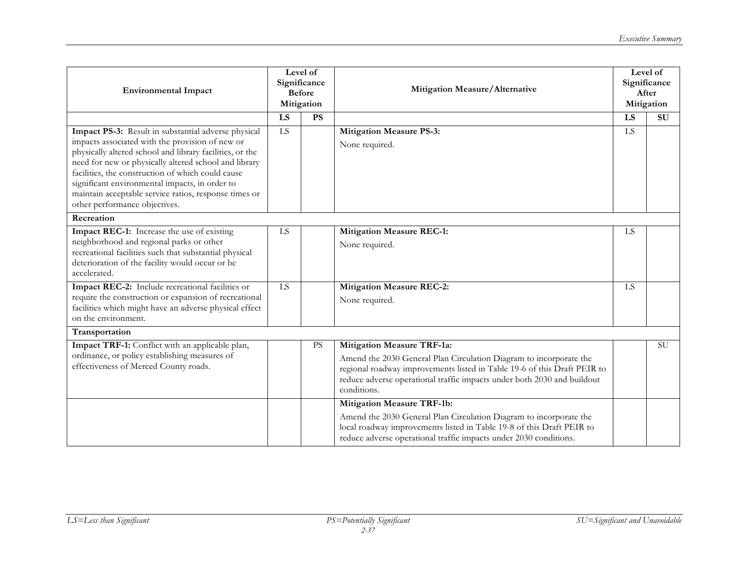| <b>Environmental Impact</b>                                                                                                                                                                                                                                                                                                                                                                                                  | Level of<br>Significance<br><b>Before</b><br>Mitigation |           | Mitigation Measure/Alternative                                                                                                                                                                                                                                         | Level of<br>Significance<br>After<br>Mitigation |                          |
|------------------------------------------------------------------------------------------------------------------------------------------------------------------------------------------------------------------------------------------------------------------------------------------------------------------------------------------------------------------------------------------------------------------------------|---------------------------------------------------------|-----------|------------------------------------------------------------------------------------------------------------------------------------------------------------------------------------------------------------------------------------------------------------------------|-------------------------------------------------|--------------------------|
|                                                                                                                                                                                                                                                                                                                                                                                                                              | $\overline{LS}$                                         | PS        |                                                                                                                                                                                                                                                                        | $\overline{LS}$                                 | $\overline{\mathrm{SU}}$ |
| Impact PS-3: Result in substantial adverse physical<br>impacts associated with the provision of new or<br>physically altered school and library facilities, or the<br>need for new or physically altered school and library<br>facilities, the construction of which could cause<br>significant environmental impacts, in order to<br>maintain acceptable service ratios, response times or<br>other performance objectives. | LS                                                      |           | <b>Mitigation Measure PS-3:</b><br>None required.                                                                                                                                                                                                                      | LS                                              |                          |
| Recreation                                                                                                                                                                                                                                                                                                                                                                                                                   |                                                         |           |                                                                                                                                                                                                                                                                        |                                                 |                          |
| Impact REC-1: Increase the use of existing<br>neighborhood and regional parks or other<br>recreational facilities such that substantial physical<br>deterioration of the facility would occur or be<br>accelerated.                                                                                                                                                                                                          | LS                                                      |           | <b>Mitigation Measure REC-1:</b><br>None required.                                                                                                                                                                                                                     | <b>LS</b>                                       |                          |
| Impact REC-2: Include recreational facilities or<br>require the construction or expansion of recreational<br>facilities which might have an adverse physical effect<br>on the environment.                                                                                                                                                                                                                                   | $\overline{LS}$                                         |           | <b>Mitigation Measure REC-2:</b><br>None required.                                                                                                                                                                                                                     | LS                                              |                          |
| Transportation                                                                                                                                                                                                                                                                                                                                                                                                               |                                                         |           |                                                                                                                                                                                                                                                                        |                                                 |                          |
| Impact TRF-1: Conflict with an applicable plan,<br>ordinance, or policy establishing measures of<br>effectiveness of Merced County roads.                                                                                                                                                                                                                                                                                    |                                                         | <b>PS</b> | Mitigation Measure TRF-1a:<br>Amend the 2030 General Plan Circulation Diagram to incorporate the<br>regional roadway improvements listed in Table 19-6 of this Draft PEIR to<br>reduce adverse operational traffic impacts under both 2030 and buildout<br>conditions. |                                                 | <b>SU</b>                |
|                                                                                                                                                                                                                                                                                                                                                                                                                              |                                                         |           | <b>Mitigation Measure TRF-1b:</b><br>Amend the 2030 General Plan Circulation Diagram to incorporate the<br>local roadway improvements listed in Table 19-8 of this Draft PEIR to<br>reduce adverse operational traffic impacts under 2030 conditions.                  |                                                 |                          |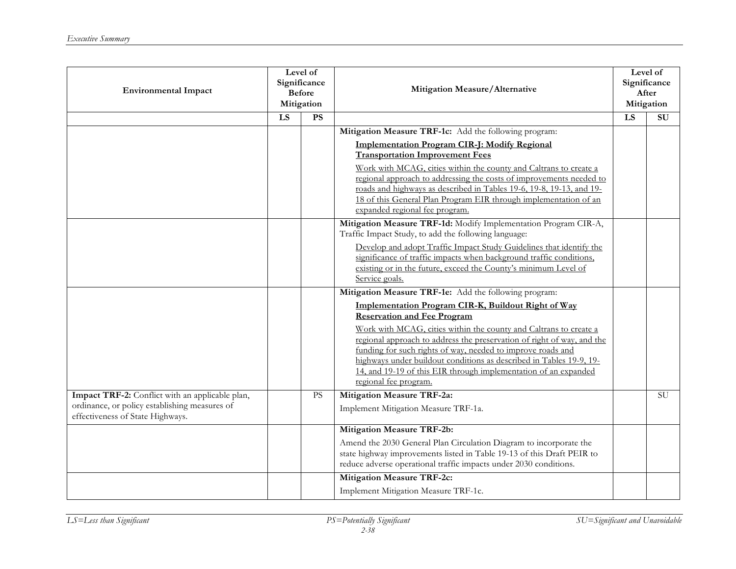| <b>Environmental Impact</b>                                                                                                          | Level of<br>Significance<br><b>Before</b><br>Mitigation |           | Mitigation Measure/Alternative                                                                                                                                                                                                                                                                                                                                                                                                                                                                                                      |    | Level of<br>Significance<br>After<br>Mitigation |
|--------------------------------------------------------------------------------------------------------------------------------------|---------------------------------------------------------|-----------|-------------------------------------------------------------------------------------------------------------------------------------------------------------------------------------------------------------------------------------------------------------------------------------------------------------------------------------------------------------------------------------------------------------------------------------------------------------------------------------------------------------------------------------|----|-------------------------------------------------|
|                                                                                                                                      | LS                                                      | <b>PS</b> |                                                                                                                                                                                                                                                                                                                                                                                                                                                                                                                                     | LS | SU                                              |
|                                                                                                                                      |                                                         |           | Mitigation Measure TRF-1c: Add the following program:<br><b>Implementation Program CIR-J: Modify Regional</b><br><b>Transportation Improvement Fees</b><br>Work with MCAG, cities within the county and Caltrans to create a<br>regional approach to addressing the costs of improvements needed to<br>roads and highways as described in Tables 19-6, 19-8, 19-13, and 19-<br>18 of this General Plan Program EIR through implementation of an<br>expanded regional fee program.                                                   |    |                                                 |
|                                                                                                                                      |                                                         |           | Mitigation Measure TRF-1d: Modify Implementation Program CIR-A,<br>Traffic Impact Study, to add the following language:<br>Develop and adopt Traffic Impact Study Guidelines that identify the<br>significance of traffic impacts when background traffic conditions,<br>existing or in the future, exceed the County's minimum Level of<br>Service goals.                                                                                                                                                                          |    |                                                 |
|                                                                                                                                      |                                                         |           | Mitigation Measure TRF-1e: Add the following program:<br>Implementation Program CIR-K, Buildout Right of Way<br><b>Reservation and Fee Program</b><br>Work with MCAG, cities within the county and Caltrans to create a<br>regional approach to address the preservation of right of way, and the<br>funding for such rights of way, needed to improve roads and<br>highways under buildout conditions as described in Tables 19-9, 19-<br>14, and 19-19 of this EIR through implementation of an expanded<br>regional fee program. |    |                                                 |
| Impact TRF-2: Conflict with an applicable plan,<br>ordinance, or policy establishing measures of<br>effectiveness of State Highways. |                                                         | PS        | <b>Mitigation Measure TRF-2a:</b><br>Implement Mitigation Measure TRF-1a.                                                                                                                                                                                                                                                                                                                                                                                                                                                           |    | $\overline{SU}$                                 |
|                                                                                                                                      |                                                         |           | <b>Mitigation Measure TRF-2b:</b><br>Amend the 2030 General Plan Circulation Diagram to incorporate the<br>state highway improvements listed in Table 19-13 of this Draft PEIR to<br>reduce adverse operational traffic impacts under 2030 conditions.<br><b>Mitigation Measure TRF-2c:</b>                                                                                                                                                                                                                                         |    |                                                 |
|                                                                                                                                      |                                                         |           | Implement Mitigation Measure TRF-1c.                                                                                                                                                                                                                                                                                                                                                                                                                                                                                                |    |                                                 |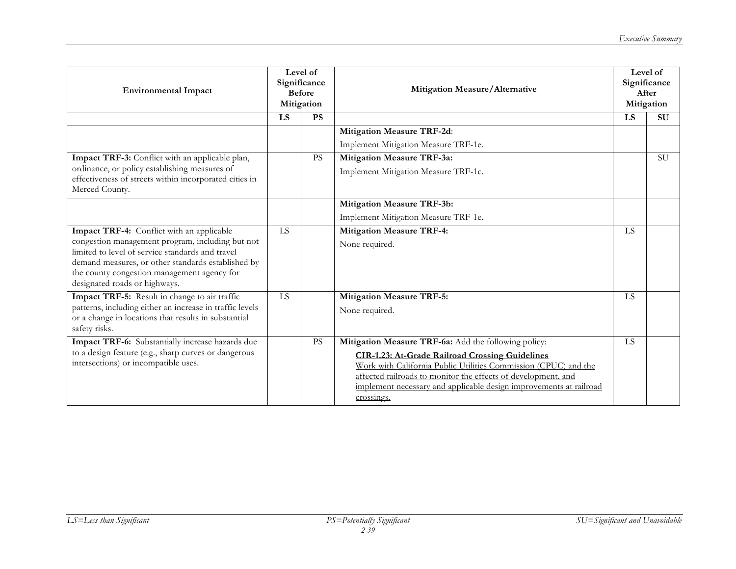| <b>Environmental Impact</b>                                                                                                                                                                                                                | Level of<br>Significance<br><b>Before</b><br>Mitigation |           | Mitigation Measure/Alternative                                                                                                                                                                                                                                                 |           | Level of<br>Significance<br>After<br>Mitigation |
|--------------------------------------------------------------------------------------------------------------------------------------------------------------------------------------------------------------------------------------------|---------------------------------------------------------|-----------|--------------------------------------------------------------------------------------------------------------------------------------------------------------------------------------------------------------------------------------------------------------------------------|-----------|-------------------------------------------------|
|                                                                                                                                                                                                                                            | <b>LS</b>                                               | <b>PS</b> |                                                                                                                                                                                                                                                                                | LS        | <b>SU</b>                                       |
|                                                                                                                                                                                                                                            |                                                         |           | Mitigation Measure TRF-2d:                                                                                                                                                                                                                                                     |           |                                                 |
|                                                                                                                                                                                                                                            |                                                         |           | Implement Mitigation Measure TRF-1e.                                                                                                                                                                                                                                           |           |                                                 |
| Impact TRF-3: Conflict with an applicable plan,                                                                                                                                                                                            |                                                         | <b>PS</b> | <b>Mitigation Measure TRF-3a:</b>                                                                                                                                                                                                                                              |           | <b>SU</b>                                       |
| ordinance, or policy establishing measures of<br>effectiveness of streets within incorporated cities in<br>Merced County.                                                                                                                  |                                                         |           | Implement Mitigation Measure TRF-1c.                                                                                                                                                                                                                                           |           |                                                 |
|                                                                                                                                                                                                                                            |                                                         |           | <b>Mitigation Measure TRF-3b:</b>                                                                                                                                                                                                                                              |           |                                                 |
|                                                                                                                                                                                                                                            |                                                         |           | Implement Mitigation Measure TRF-1e.                                                                                                                                                                                                                                           |           |                                                 |
| Impact TRF-4: Conflict with an applicable                                                                                                                                                                                                  | <b>IS</b>                                               |           | <b>Mitigation Measure TRF-4:</b>                                                                                                                                                                                                                                               | <b>IS</b> |                                                 |
| congestion management program, including but not<br>limited to level of service standards and travel<br>demand measures, or other standards established by<br>the county congestion management agency for<br>designated roads or highways. |                                                         |           | None required.                                                                                                                                                                                                                                                                 |           |                                                 |
| Impact TRF-5: Result in change to air traffic                                                                                                                                                                                              | $\overline{LS}$                                         |           | <b>Mitigation Measure TRF-5:</b>                                                                                                                                                                                                                                               | LS        |                                                 |
| patterns, including either an increase in traffic levels<br>or a change in locations that results in substantial<br>safety risks.                                                                                                          |                                                         |           | None required.                                                                                                                                                                                                                                                                 |           |                                                 |
| Impact TRF-6: Substantially increase hazards due                                                                                                                                                                                           |                                                         | <b>PS</b> | Mitigation Measure TRF-6a: Add the following policy:                                                                                                                                                                                                                           | <b>IS</b> |                                                 |
| to a design feature (e.g., sharp curves or dangerous<br>intersections) or incompatible uses.                                                                                                                                               |                                                         |           | <b>CIR-1.23: At-Grade Railroad Crossing Guidelines</b><br>Work with California Public Utilities Commission (CPUC) and the<br>affected railroads to monitor the effects of development, and<br>implement necessary and applicable design improvements at railroad<br>crossings. |           |                                                 |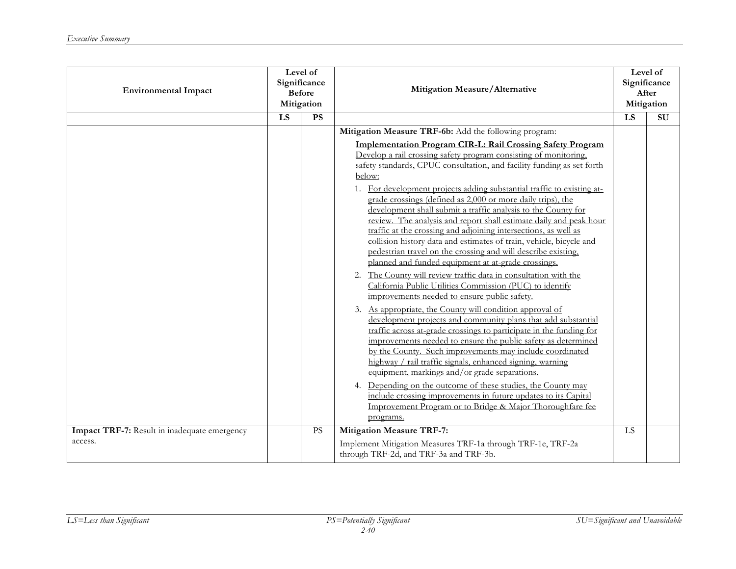| <b>Environmental Impact</b>                             | Level of<br>Significance<br><b>Before</b><br>Mitigation |           | Mitigation Measure/Alternative                                                                                                                                                                                                                                                                                                                                                                                                                                                                                                                                                                                                                                                             |    | Level of<br>Significance<br>After<br>Mitigation |
|---------------------------------------------------------|---------------------------------------------------------|-----------|--------------------------------------------------------------------------------------------------------------------------------------------------------------------------------------------------------------------------------------------------------------------------------------------------------------------------------------------------------------------------------------------------------------------------------------------------------------------------------------------------------------------------------------------------------------------------------------------------------------------------------------------------------------------------------------------|----|-------------------------------------------------|
|                                                         | LS                                                      | <b>PS</b> |                                                                                                                                                                                                                                                                                                                                                                                                                                                                                                                                                                                                                                                                                            | LS | SU                                              |
|                                                         |                                                         |           | Mitigation Measure TRF-6b: Add the following program:<br><b>Implementation Program CIR-L: Rail Crossing Safety Program</b><br>Develop a rail crossing safety program consisting of monitoring,<br>safety standards, CPUC consultation, and facility funding as set forth                                                                                                                                                                                                                                                                                                                                                                                                                   |    |                                                 |
|                                                         |                                                         |           | below:<br>1. For development projects adding substantial traffic to existing at-<br>grade crossings (defined as 2,000 or more daily trips), the<br>development shall submit a traffic analysis to the County for<br>review. The analysis and report shall estimate daily and peak hour<br>traffic at the crossing and adjoining intersections, as well as<br>collision history data and estimates of train, vehicle, bicycle and<br>pedestrian travel on the crossing and will describe existing,<br>planned and funded equipment at at-grade crossings.                                                                                                                                   |    |                                                 |
|                                                         |                                                         |           | 2. The County will review traffic data in consultation with the<br>California Public Utilities Commission (PUC) to identify<br>improvements needed to ensure public safety.<br>3. As appropriate, the County will condition approval of<br>development projects and community plans that add substantial<br>traffic across at-grade crossings to participate in the funding for<br>improvements needed to ensure the public safety as determined<br>by the County. Such improvements may include coordinated<br>highway / rail traffic signals, enhanced signing, warning<br>equipment, markings and/or grade separations.<br>4. Depending on the outcome of these studies, the County may |    |                                                 |
|                                                         |                                                         |           | include crossing improvements in future updates to its Capital<br>Improvement Program or to Bridge & Major Thoroughfare fee<br>programs.                                                                                                                                                                                                                                                                                                                                                                                                                                                                                                                                                   |    |                                                 |
| Impact TRF-7: Result in inadequate emergency<br>access. |                                                         | <b>PS</b> | <b>Mitigation Measure TRF-7:</b><br>Implement Mitigation Measures TRF-1a through TRF-1e, TRF-2a<br>through TRF-2d, and TRF-3a and TRF-3b.                                                                                                                                                                                                                                                                                                                                                                                                                                                                                                                                                  | LS |                                                 |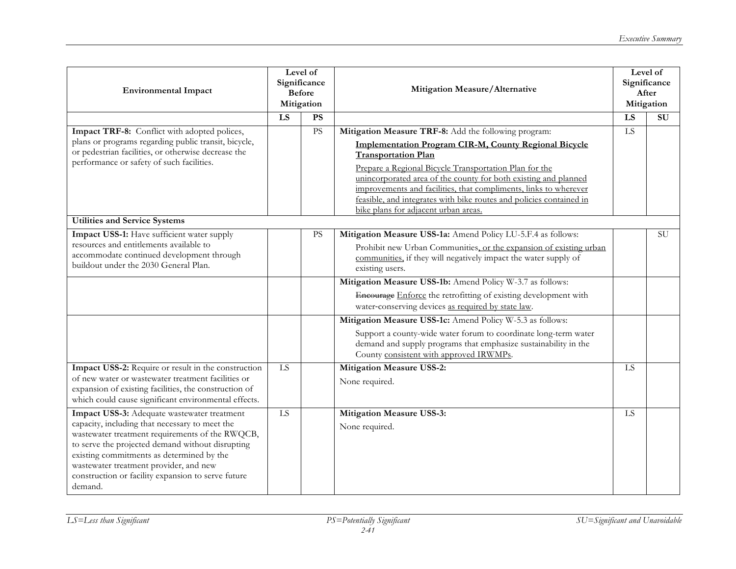| <b>Environmental Impact</b>                                                                                                                                                                                                                                                                                                                                  | Level of<br>Significance<br><b>Before</b><br>Mitigation |           | Mitigation Measure/Alternative                                                                                                                                                                                                                                                                                                                                                                                                                                     |           | Level of<br>Significance<br>After<br>Mitigation |
|--------------------------------------------------------------------------------------------------------------------------------------------------------------------------------------------------------------------------------------------------------------------------------------------------------------------------------------------------------------|---------------------------------------------------------|-----------|--------------------------------------------------------------------------------------------------------------------------------------------------------------------------------------------------------------------------------------------------------------------------------------------------------------------------------------------------------------------------------------------------------------------------------------------------------------------|-----------|-------------------------------------------------|
|                                                                                                                                                                                                                                                                                                                                                              | LS                                                      | <b>PS</b> |                                                                                                                                                                                                                                                                                                                                                                                                                                                                    | LS        | $\overline{\mathrm{SU}}$                        |
| Impact TRF-8: Conflict with adopted polices,<br>plans or programs regarding public transit, bicycle,<br>or pedestrian facilities, or otherwise decrease the<br>performance or safety of such facilities.                                                                                                                                                     |                                                         | <b>PS</b> | Mitigation Measure TRF-8: Add the following program:<br><b>Implementation Program CIR-M, County Regional Bicycle</b><br><b>Transportation Plan</b><br>Prepare a Regional Bicycle Transportation Plan for the<br>unincorporated area of the county for both existing and planned<br>improvements and facilities, that compliments, links to wherever<br>feasible, and integrates with bike routes and policies contained in<br>bike plans for adjacent urban areas. | LS        |                                                 |
| <b>Utilities and Service Systems</b>                                                                                                                                                                                                                                                                                                                         |                                                         |           |                                                                                                                                                                                                                                                                                                                                                                                                                                                                    |           |                                                 |
| Impact USS-1: Have sufficient water supply<br>resources and entitlements available to<br>accommodate continued development through<br>buildout under the 2030 General Plan.                                                                                                                                                                                  |                                                         | <b>PS</b> | Mitigation Measure USS-1a: Amend Policy LU-5.F.4 as follows:<br>Prohibit new Urban Communities, or the expansion of existing urban<br>communities, if they will negatively impact the water supply of<br>existing users.                                                                                                                                                                                                                                           |           | <b>SU</b>                                       |
|                                                                                                                                                                                                                                                                                                                                                              |                                                         |           | Mitigation Measure USS-1b: Amend Policy W-3.7 as follows:                                                                                                                                                                                                                                                                                                                                                                                                          |           |                                                 |
|                                                                                                                                                                                                                                                                                                                                                              |                                                         |           | Encourage Enforce the retrofitting of existing development with<br>water-conserving devices as required by state law.                                                                                                                                                                                                                                                                                                                                              |           |                                                 |
|                                                                                                                                                                                                                                                                                                                                                              |                                                         |           | Mitigation Measure USS-1c: Amend Policy W-5.3 as follows:                                                                                                                                                                                                                                                                                                                                                                                                          |           |                                                 |
|                                                                                                                                                                                                                                                                                                                                                              |                                                         |           | Support a county-wide water forum to coordinate long-term water<br>demand and supply programs that emphasize sustainability in the<br>County consistent with approved IRWMPs.                                                                                                                                                                                                                                                                                      |           |                                                 |
| Impact USS-2: Require or result in the construction                                                                                                                                                                                                                                                                                                          | LS                                                      |           | <b>Mitigation Measure USS-2:</b>                                                                                                                                                                                                                                                                                                                                                                                                                                   | LS        |                                                 |
| of new water or wastewater treatment facilities or<br>expansion of existing facilities, the construction of<br>which could cause significant environmental effects.                                                                                                                                                                                          |                                                         |           | None required.                                                                                                                                                                                                                                                                                                                                                                                                                                                     |           |                                                 |
| Impact USS-3: Adequate wastewater treatment<br>capacity, including that necessary to meet the<br>wastewater treatment requirements of the RWQCB,<br>to serve the projected demand without disrupting<br>existing commitments as determined by the<br>wastewater treatment provider, and new<br>construction or facility expansion to serve future<br>demand. | <b>LS</b>                                               |           | <b>Mitigation Measure USS-3:</b><br>None required.                                                                                                                                                                                                                                                                                                                                                                                                                 | <b>LS</b> |                                                 |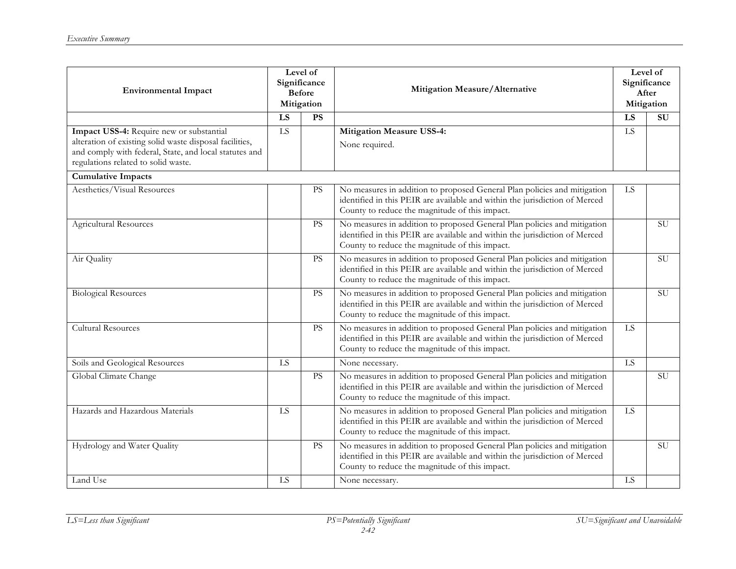| <b>Environmental Impact</b>                                                                                                                                                                          | Level of<br>Significance<br><b>Before</b><br>Mitigation |           | Mitigation Measure/Alternative                                                                                                                                                                            |                 | Level of<br>Significance<br>After<br>Mitigation |  |
|------------------------------------------------------------------------------------------------------------------------------------------------------------------------------------------------------|---------------------------------------------------------|-----------|-----------------------------------------------------------------------------------------------------------------------------------------------------------------------------------------------------------|-----------------|-------------------------------------------------|--|
|                                                                                                                                                                                                      | LS                                                      | PS        |                                                                                                                                                                                                           | LS              | $\overline{\mathrm{SU}}$                        |  |
| Impact USS-4: Require new or substantial<br>alteration of existing solid waste disposal facilities,<br>and comply with federal, State, and local statutes and<br>regulations related to solid waste. | LS                                                      |           | <b>Mitigation Measure USS-4:</b><br>None required.                                                                                                                                                        | LS              |                                                 |  |
| <b>Cumulative Impacts</b>                                                                                                                                                                            |                                                         |           |                                                                                                                                                                                                           |                 |                                                 |  |
| Aesthetics/Visual Resources                                                                                                                                                                          |                                                         | <b>PS</b> | No measures in addition to proposed General Plan policies and mitigation<br>identified in this PEIR are available and within the jurisdiction of Merced<br>County to reduce the magnitude of this impact. | LS              |                                                 |  |
| <b>Agricultural Resources</b>                                                                                                                                                                        |                                                         | <b>PS</b> | No measures in addition to proposed General Plan policies and mitigation<br>identified in this PEIR are available and within the jurisdiction of Merced<br>County to reduce the magnitude of this impact. |                 | <b>SU</b>                                       |  |
| Air Quality                                                                                                                                                                                          |                                                         | <b>PS</b> | No measures in addition to proposed General Plan policies and mitigation<br>identified in this PEIR are available and within the jurisdiction of Merced<br>County to reduce the magnitude of this impact. |                 | <b>SU</b>                                       |  |
| <b>Biological Resources</b>                                                                                                                                                                          |                                                         | <b>PS</b> | No measures in addition to proposed General Plan policies and mitigation<br>identified in this PEIR are available and within the jurisdiction of Merced<br>County to reduce the magnitude of this impact. |                 | $\overline{\rm SU}$                             |  |
| <b>Cultural Resources</b>                                                                                                                                                                            |                                                         | <b>PS</b> | No measures in addition to proposed General Plan policies and mitigation<br>identified in this PEIR are available and within the jurisdiction of Merced<br>County to reduce the magnitude of this impact. | $\overline{LS}$ |                                                 |  |
| Soils and Geological Resources                                                                                                                                                                       | ${\rm LS}$                                              |           | None necessary.                                                                                                                                                                                           | LS              |                                                 |  |
| Global Climate Change                                                                                                                                                                                |                                                         | <b>PS</b> | No measures in addition to proposed General Plan policies and mitigation<br>identified in this PEIR are available and within the jurisdiction of Merced<br>County to reduce the magnitude of this impact. |                 | <b>SU</b>                                       |  |
| Hazards and Hazardous Materials                                                                                                                                                                      | LS                                                      |           | No measures in addition to proposed General Plan policies and mitigation<br>identified in this PEIR are available and within the jurisdiction of Merced<br>County to reduce the magnitude of this impact. | LS              |                                                 |  |
| Hydrology and Water Quality                                                                                                                                                                          |                                                         | <b>PS</b> | No measures in addition to proposed General Plan policies and mitigation<br>identified in this PEIR are available and within the jurisdiction of Merced<br>County to reduce the magnitude of this impact. |                 | SU                                              |  |
| Land Use                                                                                                                                                                                             | LS                                                      |           | None necessary.                                                                                                                                                                                           | LS              |                                                 |  |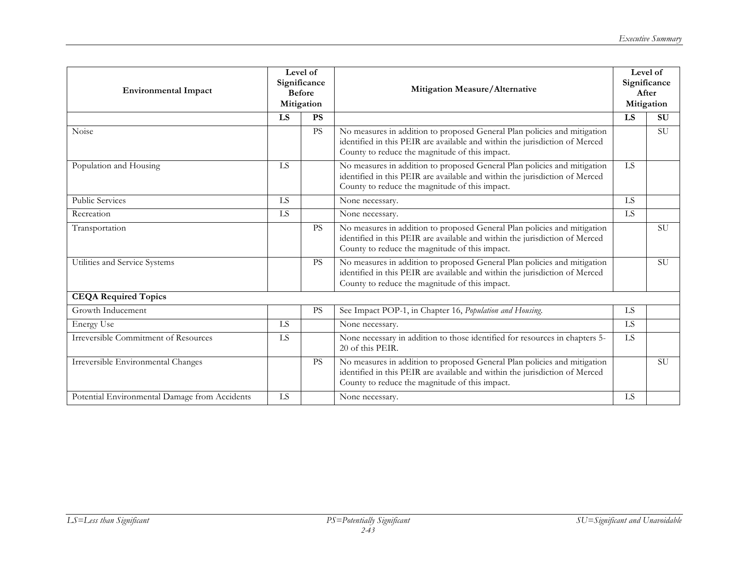| <b>Environmental Impact</b>                   | Level of<br>Significance<br><b>Before</b><br>Mitigation |           | Mitigation Measure/Alternative                                                                                                                                                                            | Level of<br>Significance<br>After<br>Mitigation |           |
|-----------------------------------------------|---------------------------------------------------------|-----------|-----------------------------------------------------------------------------------------------------------------------------------------------------------------------------------------------------------|-------------------------------------------------|-----------|
|                                               | LS                                                      | <b>PS</b> |                                                                                                                                                                                                           | LS                                              | <b>SU</b> |
| Noise                                         |                                                         | <b>PS</b> | No measures in addition to proposed General Plan policies and mitigation<br>identified in this PEIR are available and within the jurisdiction of Merced<br>County to reduce the magnitude of this impact. |                                                 | <b>SU</b> |
| Population and Housing                        | <b>LS</b>                                               |           | No measures in addition to proposed General Plan policies and mitigation<br>identified in this PEIR are available and within the jurisdiction of Merced<br>County to reduce the magnitude of this impact. | LS                                              |           |
| <b>Public Services</b>                        | LS                                                      |           | None necessary.                                                                                                                                                                                           | <b>LS</b>                                       |           |
| Recreation                                    | $\overline{LS}$                                         |           | None necessary.                                                                                                                                                                                           | $\overline{LS}$                                 |           |
| Transportation                                |                                                         | <b>PS</b> | No measures in addition to proposed General Plan policies and mitigation<br>identified in this PEIR are available and within the jurisdiction of Merced<br>County to reduce the magnitude of this impact. |                                                 | <b>SU</b> |
| Utilities and Service Systems                 |                                                         | <b>PS</b> | No measures in addition to proposed General Plan policies and mitigation<br>identified in this PEIR are available and within the jurisdiction of Merced<br>County to reduce the magnitude of this impact. |                                                 | <b>SU</b> |
| <b>CEQA Required Topics</b>                   |                                                         |           |                                                                                                                                                                                                           |                                                 |           |
| Growth Inducement                             |                                                         | <b>PS</b> | See Impact POP-1, in Chapter 16, Population and Housing.                                                                                                                                                  | LS                                              |           |
| <b>Energy Use</b>                             | LS                                                      |           | None necessary.                                                                                                                                                                                           | LS                                              |           |
| <b>Irreversible Commitment of Resources</b>   | LS                                                      |           | None necessary in addition to those identified for resources in chapters 5-<br>20 of this PEIR.                                                                                                           | LS                                              |           |
| Irreversible Environmental Changes            |                                                         | <b>PS</b> | No measures in addition to proposed General Plan policies and mitigation<br>identified in this PEIR are available and within the jurisdiction of Merced<br>County to reduce the magnitude of this impact. |                                                 | <b>SU</b> |
| Potential Environmental Damage from Accidents | LS                                                      |           | None necessary.                                                                                                                                                                                           | LS                                              |           |